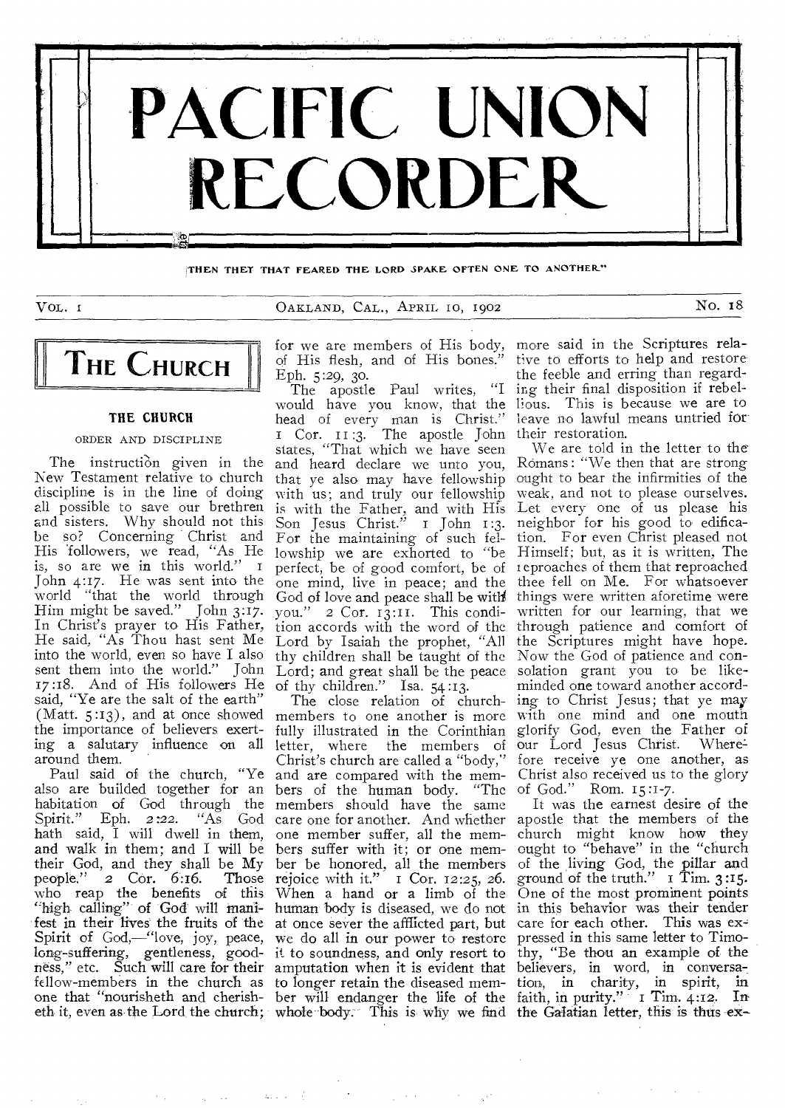

**;THEN THEY THAT FEARED THE LORD SPAKE OFTEN ONE TO ANOTHER-"** 

VOL., 1 CALLAND, CAL., APRIL, 10, 1902 NO. 18

# **THE CHURCH**

#### **THE CHURCH**

#### ORDER AND DISCIPLINE

New Testament relative to church discipline is in the line of doing all possible to save our brethren and sisters. Why should not this be so? Concerning Christ and His 'followers, we read, "As He is, so are we in this world." I John 4:17. He was sent into the world "that the world through Him might be saved." John 3:17. In Christ's prayer to His Father, He said, "As Thou hast sent Me into the world, even so have I also sent them into the world." John 17:18. And of His followers He said, "Ye are the salt of the earth" the importance of believers exertaround them.

also are builded together for an habitation of God through the Spirit." Eph. *2:22.* "As God hath said, I will dwell in them, and walk in them; and I will be their God, and they shall be My people." 2 Cor. 6:16. Those who reap the benefits of this "high calling" of God will manifest in their lives the fruits of the Spirit of God,—"love, joy, peace, long-suffering, gentleness, goodness," etc. Such will care for their fellow-members in the church as one that "nourisheth and cherisheth it, even as the Lord the church;

of His flesh, and of His bones." Eph. 5:29, 30.

The instruction given in the and heard declare we unto you, The apostle Paul writes, "I would have you know, that the head of every man is Christ." Cor. II :3. The apostle John states, "That which we have seen that ye also may have fellowship ought to bear the infirmities of the with us; and truly our fellowship weak, and not to please ourselves. is with the Father, and with His Son Jesus Christ." i John 1:3. For the maintaining of such fellowship we are exhorted to "be perfect, be of good comfort, be of one mind, live in peace; and the God of love and peace shall be with you." 2 Cor. 13:11. This condition accords with the word of the Lord by Isaiah the prophet, "All thy children shall be taught of the Lord; and great shall be the peace of thy children." Isa. 54:13.

(Matt. 5:13), and at once showed members to one another is more with one mind and one mouth ing a salutary influence on all letter, where the members of our Lord Jesus Christ. Where: Paul said of the church, "Ye Christ's church are called a "body," The close relation of churchfully illustrated in the Corinthian and are compared with the members of the human body. "The members should have the same care one for another. And whether apostle that the members of the one member suffer, all the members suffer with it; or one member be honored, all the members rejoice with it."  $\top$  Cor. 12:25, 26. When a hand or a limb of the human body is diseased, we do not in this behavior was their tender at once sever the afflicted part, but care for each other. This was we do all in our power to restore it to soundness, and only resort to amputation when it is evident that to longer retain the diseased member will endanger the life of the whole-body. This is why we find

for we are members of His body, more said in the Scriptures relative to efforts to help and restore the feeble and erring than regarding their final disposition if rebellious. This is because we are to leave no lawful means untried for their restoration.

We are told in the letter to the Romans : "We then that are strong Let every one of us please his neighbor for his good to edification. For even Christ pleased not Himself; but, as it is written, The eproaches of them that reproached thee fell on Me. For whatsoever things were written aforetime were written for our learning, that we through patience and comfort of the Scriptures might have hope. Now the God of patience and consolation grant you to be likeminded one toward another according to Christ Jesus; that ye may glorify God, even the Father of fore receive ye one another, as Christ also received us to the glory of God." Rom. 15 :1-7.

It was the earnest desire of the church might know how they ought to "behave" in the "church of the living God, the pillar and ground of the truth."  $\bar{1}$  Tim. 3:15. One of the most prominent points pressed in this same letter to Timothy, "Be thou an example of the believers, in word, in conversation, in charity, in spirit, in faith, in purity." I Tim.  $4:12$ . In the GaIatian letter, this is thus ex-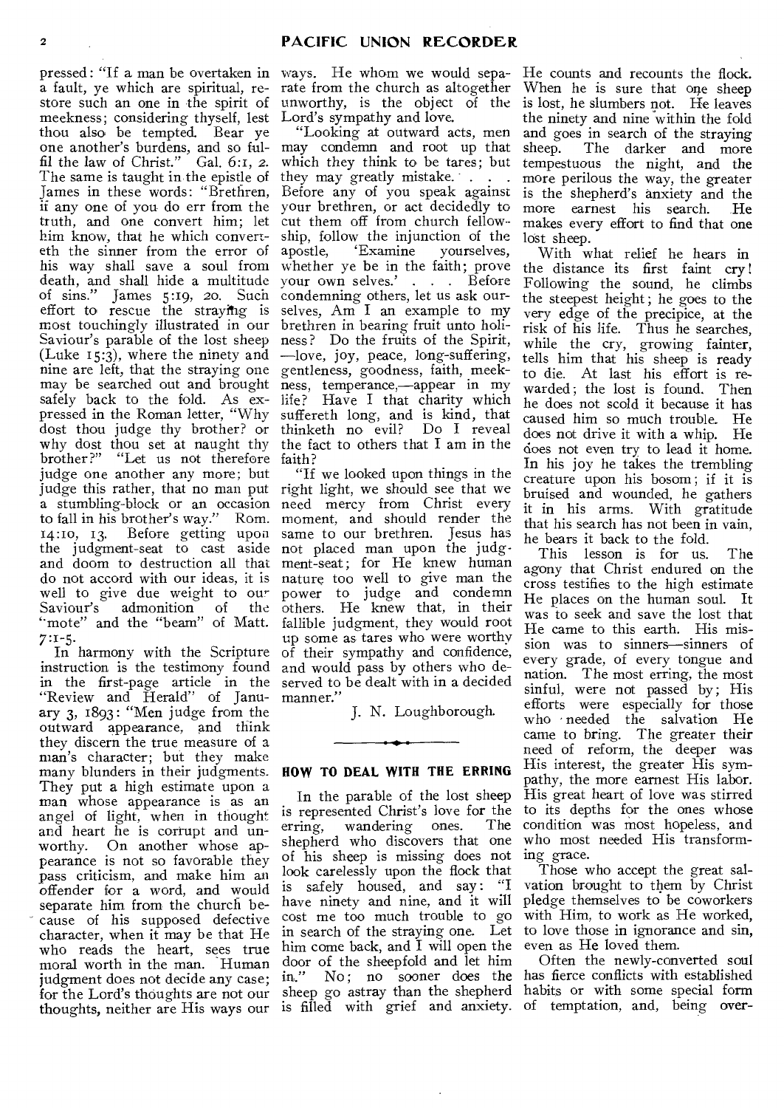pressed : "If a man be overtaken in ways. He whom we would sepaa fault, ye which are spiritual, restore such an one in the spirit of meekness; considering thyself, lest thou also be tempted. Bear ye one another's burdens, and so fulfil the law of Christ." Gal. 6:1, *2.*  The same is taught in the epistle of James in these words: "Brethren, if any one of you do err from the truth, and one convert him; let him know, that he which converteth the sinner from the error of his way shall save a soul from death, and shall hide a multitude<br>of sins." James 5:19, 20. Such of sins." James 5:19, 20. Such effort to rescue the straying is most touchingly illustrated in our brethren in bearing fruit unto holi-Saviour's parable of the lost sheep (Luke  $15:3$ ), where the ninety and nine are left, that the straying one gentleness, goodness, faith, meekmay be searched out and brought ness, temperance,—appear in my safely back to the fold. As expressed in the Roman letter, "Why dost thou judge thy brother? or thinketh no evil? Do I reveal why dost thou set at naught thy the fact to others that I am in the brother?" "Let us not therefore faith? judge one another any more; but judge this rather, that no man put right light, we should see that we a stumbling-block or an occasion need mercy from Christ every to fall in his brother's way." Rom. moment, and should render the 14:10, 13. Before getting upon same to our brethren. Jesus has the judgment-seat to cast aside not placed man upon the judgand doom to destruction all that ment-seat; for He knew human do not accord with our ideas, it is nature too well to give man the well to give due weight to our<br>Saviour's admonition of the admonition of the "mote" and the "beam" of Matt. 7:1-5.

In harmony with the Scripture instruction is the testimony found in the first-page article in the served to be dealt with in a decided "Review and Herald" of January 3, 1893: "Men judge from \_the outward appearance, and think they discern the true measure of a man's character; but they make many blunders in their judgments. They put a high estimate upon a man whose appearance is as an angel of light, when in thought and heart he is corrupt and un-<br>worthy. On another whose ap-On another whose appearance is not so favorable they pass criticism, and make him an offender for a word, and would separate him from the church because of his supposed defective character, when it may be that He who reads the heart, sees true moral worth in the man. Human judgment does not decide any case; for the Lord's thoughts are not our sheep go astray than the shepherd habits or with some special form thoughts, neither are His ways our is filled with grief and anxiety. of temptation, and, being over-

rate from the church as altogether unworthy, is the object of the Lord's sympathy and love.

"Looking at outward acts, men may condemn and root up that which they think to be tares; but they may greatly mistake. . . . Before any of you speak against your brethren, or act decidedly to cut them off from church fellowship, follow the injunction of the apostle, 'Examine yourselves, 'Examine whether ye be in the faith; prove your own selves.' . . . Before condemning others, let us ask ourselves, Am I an example to my ness ? Do the fruits of the Spirit, —love, joy, peace, long-suffering, life? Have I that charity which suffereth long, and is kind, that

"If we looked upon things in the power to judge and condemn others. He knew that, in their fallible judgment, they would root up some as tares who were worthy of their sympathy and confidence, and would pass by others who demanner."

J. N. Loughborough.

### **HOW TO DEAL WITH THE ERRING**

In the parable of the lost sheep is represented Christ's love for the<br>erring. wandering ones. The erring, wandering ones. shepherd who discovers that one of his sheep is missing does not look carelessly upon the flock that is safely housed, and say: "I have ninety and nine, and it will cost me too much trouble to go in search of the straying one. Let him come back, and I will open the door of the sheepfold and let him<br>in." No; no sooner does the No; no sooner does the

He counts and recounts the flock. When he is sure that one sheep is lost, he slumbers not. He leaves the ninety and nine within the fold and goes in search of the straying sheep. The darker and more tempestuous the night, and the more perilous the way, the greater is the shepherd's anxiety and the more earnest his search. makes every effort to find that one lost sheep.

With what relief he hears in the distance its first faint cry! Following the sound, he climbs the steepest height; he goes to the very edge of the precipice, at the risk of his life. Thus he searches, while the cry, growing fainter, tells him that his sheep is ready to die. At last his effort is rewarded ; the lost is found. Then he does not scold it because it has caused him so much trouble. He does not drive it with a whip. He does not even try to lead it home. In his joy he takes the trembling creature upon his bosom ; if it is bruised and wounded, he gathers it in his arms. With gratitude that his search has not been in vain, he bears it back to the fold.

This lesson is for us. The agony that Christ endured on the cross testifies to the high estimate He places on the human soul. It was to seek and save the lost that He came to this earth. His mission was to sinners—sinners of every grade, of every tongue and nation. The most erring, the most sinful, were not passed by; His efforts were especially for those who • needed the salvation He came to bring. The greater their need of reform, the deeper was His interest, the greater His sympathy, the more earnest His labor. His great heart of love was stirred to its depths for the ones whose condition was most hopeless, and who most needed His transforming grace.

Those who accept the great salvation brought to them by Christ pledge themselves to be coworkers with Him, to work as He worked, to love those in ignorance and sin, even as He loved them.

Often the newly-converted soul has fierce conflicts with established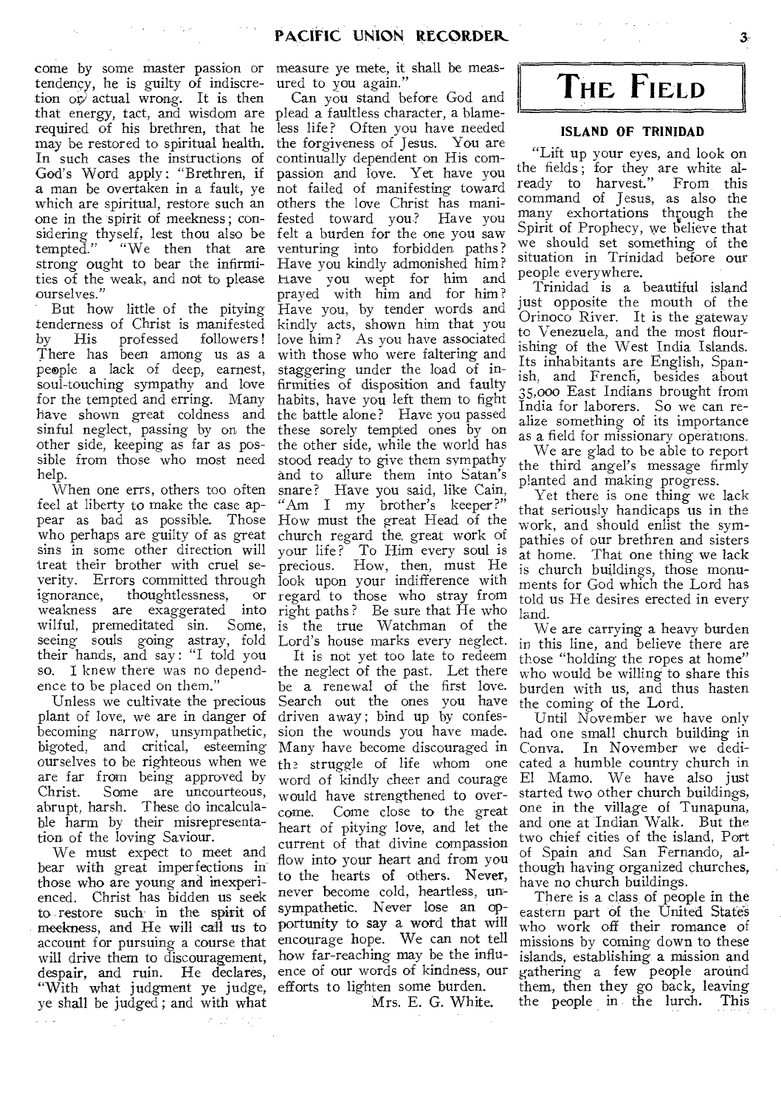come by some master passion or measure ye mete, it shall be meastendency, he is guilty of indiscre-ured to you again." tion or, actual wrong. It is then that energy, tact, and wisdom are plead a faultless character, a blamerequired of his brethren, that he less life? Often you have needed may be restored to spiritual health. In such cases the instructions of God's Word apply : "Brethren, if a man be overtaken in a fault, ye not failed of manifesting toward which are spiritual, restore such an one in the spirit of meekness; considering thyself, lest thou also be felt a burden for the one you saw tempted." "We then that are strong ought to bear the infirmities of the weak, and not to please ourselves."

 $\mathcal{O}(\mathcal{O}(\mathcal{O}(\mathcal{O})))$ 

But how little of the pitying tenderness of Christ is manifested<br>by His professed followers! by His professed There has been among us as a people a lack of deep, earnest, soul-touching sympathy and love for the tempted and erring. Many have shown great coldness and sinful neglect, passing by on the other side, keeping as far as possible from those who most need help.

When one errs, others too often feel at liberty to make the case appear as bad as possible. Those How must the great Head of the who perhaps are guilty of as great sins in some other direction will treat their brother with cruel severity. Errors committed through look upon your indifference with ignorance, thoughtlessness, wilful, premeditated sin. Some, seeing souls going astray, fold their hands, and say : "I told you so. I knew there was no dependence to be placed on them."

Unless we cultivate the precious plant of love, we are in danger of becoming narrow, unsympathetic, bigoted, and critical, esteeming ourselves to be righteous when we are far from being approved by Christ. Some are uncourteous, abrupt, harsh. These do incalculable harm by their misrepresentation of the loving Saviour.

We must expect to meet and bear with great imperfections in those who are young and inexperienced. Christ has bidden us seek to restore such in the spirit of meekness, and He will call us to account for pursuing a course that will drive them to discouragement, despair, and ruin. He declares, "With what judgment ye judge, ye shall be judged; and with what

 $\mathcal{P}=\frac{1}{2}\frac{1}{2}$ 

weakness are exaggerated into right paths? Be sure that He who Can you stand before God and the forgiveness of Jesus. You are continually dependent on His compassion and love. Yet have you others the love Christ has mani-<br>fested toward you? Have you fested toward you? venturing into forbidden paths? Have you kindly admonished him? have you wept for him and prayed with him and for him? Have you, by tender words and kindly acts, shown him that you love him? As you have associated with those who were faltering and staggering under the load of infirmities of disposition and faulty habits, have you left them to fight the battle alone? Have you passed these sorely tempted ones by on the other side, while the world has stood ready to give them sympathy and to allure them into Satan's snare? Have you said, like Cain, "Am I my brother's keeper?" church regard the, great work of your life? To Him every soul is precious. How, then, must He or regard to those who stray from is the true Watchman of the Lord's house marks every neglect.

It is not yet too late to redeem the neglect of the past. Let there be a renewal of the first love. Search out the ones you have driven away; bind up by confession the wounds you have made. Many have become discouraged in th2 struggle of life whom one word of kindly cheer and courage would have strengthened to overcome. Come close to the great heart of pitying love, and let the current of that divine compassion flow into your heart and from you to the hearts of others. Never, never become cold, heartless, unsympathetic. Never lose an opportunity to say a word that will encourage hope. We can not tell how far-reaching may be the influence of our words of kindness, our efforts to lighten some burden.

Mrs. E. G. White.

**THE FIELD** 

#### **ISLAND OF TRINIDAD**

"Lift up your eyes, and look on the fields; for they are white already to harvest." From this command of Jesus, as also the many exhortations through the Spirit of Prophecy, we believe that we should set something of the situation in Trinidad before our people everywhere.

Trinidad is a beautiful island just opposite the mouth of the Orinoco River. It is the gateway to Venezuela, and the most flourishing of the West India Islands. Its inhabitants are English, Spanish, and French, besides about 35,000 East Indians brought from India for laborers. So we can realize something of its importance as a field for missionary operations.

We are glad to be able to report the third angel's message firmly planted and making progress.

Yet there is one thing we lack that seriously handicaps us in the work, and should enlist the sympathies of our brethren and sisters at home. That one thing we lack is church buildings, those monuments for God which the Lord has told us He desires erected in every land.

We are carrying a heavy burden in this line, and believe there are those "holding the ropes at home" who would be willing to share this burden with us, and thus hasten the coming of the Lord.

Until November we have only had one small church, building in Conva. In November we dedicated a humble country church in El Mamo. We have also just started two other church buildings, one in the village of Tunapuna, and one at Indian Walk. But the two chief cities of the island, Port of Spain and San Fernando, although having organized churches, have no church buildings.

There is a class of people in the eastern part of the United States who work off their romance of missions by coming down to these islands, establishing a mission and gathering a few people around them, then they go back, leaving the people in the lurch. This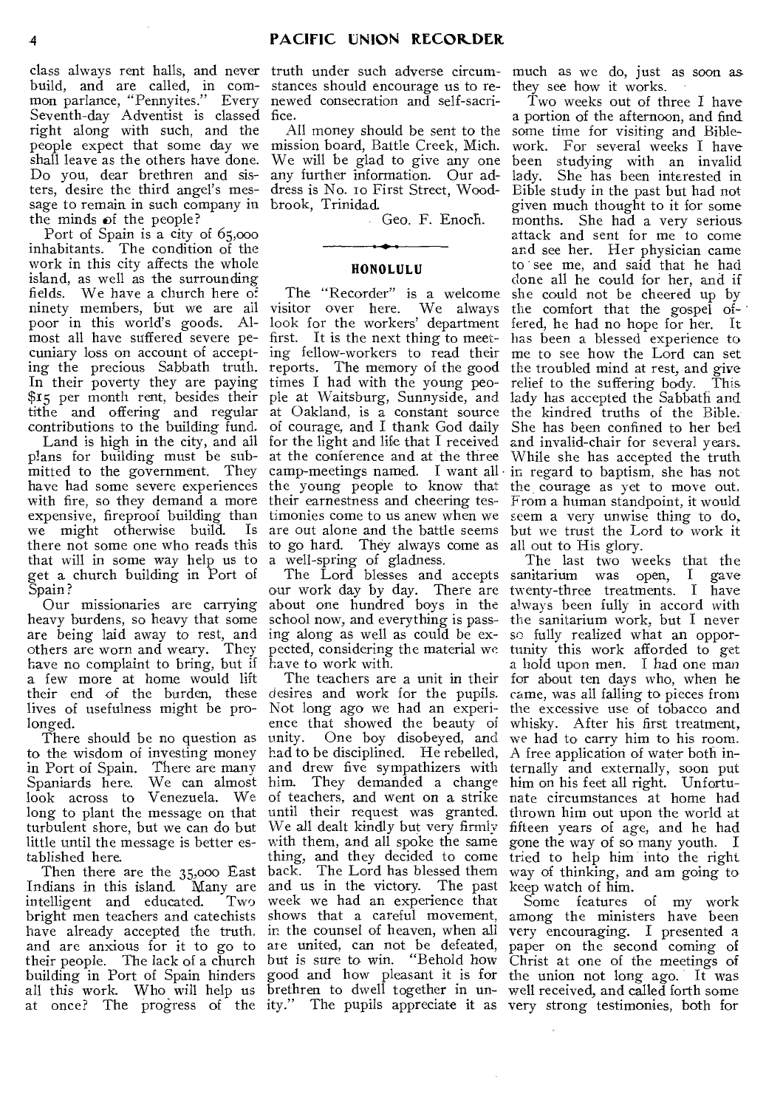class always rent halls, and never truth under such adverse circumbuild, and are called, in com-stances should encourage us to remon parlance, "Pennyites." Every newed consecration and self-sacri-Seventh-day Adventist is classed fice. right along with such, and the people expect that some day we mission board, Battle Creek, Mich. shall leave as the others have done. Do you, dear brethren and sisters, desire the third angel's message to remain in such company in brook, Trinidad. the minds of the people?

Port of Spain is a city of 65,000 inhabitants. The condition of the work in this city affects the whole island, as well as the surrounding fields. We have a church here of ninety members, but we are all visitor over here. We always poor in this world's goods. Al-look for the workers' department most all have suffered severe pe-first. It is the next thing to meetcuniary loss on account of accepting the precious Sabbath truth. In their poverty they are paying times I had with the young peo-\$15 per month rent, besides their tithe and offering and regular contributions to the building fund.

plans for building must be submitted to the government. They have had some severe experiences the young people to know that the courage as yet to move out. with fire, so they demand a more their earnestness and cheering tesexpensive, fireproof building than timonies come to us anew when we we might otherwise build. Is are out alone and the battle seems there not some one who reads this to go hard. They always come as all out to His glory. that will in some way help us to get a church building in Port of Spain?

Our missionaries are carrying heavy burdens, so heavy that some are being laid away to rest, and<br>others are worn and weary. They others are worn and weary. They have no complaint to bring, but if a few more at home would lift their end of the burden, these lives of usefulness might be prolonged.

There should be no question as to the wisdom of investing money in Port of Spain. There are many Spaniards here. We can almost look across to Venezuela. We long to plant the message on that turbulent shore, but we can do but little until the message is better established here.

Then there are the 35,000 East Indians in this island. Many are intelligent and educated. Two bright men teachers and catechists shows that a careful movement, have already accepted the truth, in the counsel of heaven, when all and are anxious for it to go to their people. The lack of a church building in Port of Spain hinders all this work. Who, will help us at once? The progress of the

All money should be sent to the We will be glad to give any one any further information. Our address is No. to First Street, Wood-

Geo. F. Enoch.

#### **HONOLULU**

Land is high in the city, and ail for the light and life that I received The "Recorder" is a welcome ing fellow-workers to read their reports. The memory of the good ple at Waitsburg, Sunnyside, and at Oakland, is a constant source of courage, and I thank God daily at the conference and at the three camp-meetings named. I want all a well-spring of gladness.

The Lord blesses and accepts our work day by day. There are about one hundred boys in the school now, and everything is passing along as well as could be expected, considering the material we have to work with.

The teachers are a unit in their desires and work for the pupils. Not long ago we had an experience that showed the beauty of unity. One boy disobeyed, and had to be disciplined. He rebelled, and drew five sympathizers with him. They demanded a change of teachers, and went on a strike until their request was granted. We all dealt kindly but very firmly with them, and all spoke the same thing, and they decided to come tried to help him into the right back. The Lord has blessed them and us in the victory. The past week we had an experience that are united, can not be defeated, but is sure to win. "Behold how good and how pleasant it is for brethren to dwell together in unity." The pupils appreciate it as

much as we do, just as soon as they see how it works.

Two weeks out of three I have a portion of the afternoon, and find some time for visiting and Biblework. For several weeks I have been studying with an invalid lady. She has been interested in Bible study in the past but had not given much thought to it for some months. She had a very serious attack and sent for me to come and see her. Her physician came *to* ° see me, and said that he had done all he could for her, and if she could not be cheered up by the comfort that the gospel of- • fered, he had no hope for her. It has been a blessed experience to me to see how the Lord can set the troubled mind at rest, and give relief to the suffering body. This lady has accepted the Sabbath and the kindred truths of the Bible. She has been confined to her bed and invalid-chair for several years\_ While she has accepted the truth in regard to baptism, she has not From a human standpoint, it would seem a very unwise thing to do, but we trust the Lord to work it

The last two weeks that the sanitarium was open, I gave twenty-three treatments. I have always been fully in accord with the sanitarium work, but I never so fully realized what an opportunity this work afforded to get a hold upon men. I had one man for about ten days who, when he came, was all falling to pieces from the excessive use of tobacco and whisky. After his first treatment, we had to carry him to his room. A free application of water both internally and externally, soon put him on his feet all right. Unfortunate circumstances at home had thrown him out upon the world at fifteen years of age, and he had gone the way of so many youth. I way of thinking, and am going to keep watch of him.

Some features of my work among the ministers have been very encouraging. I presented a paper on the second coming of Christ at one of the meetings of the union not long ago. It was well received, and called forth some very strong testimonies, both for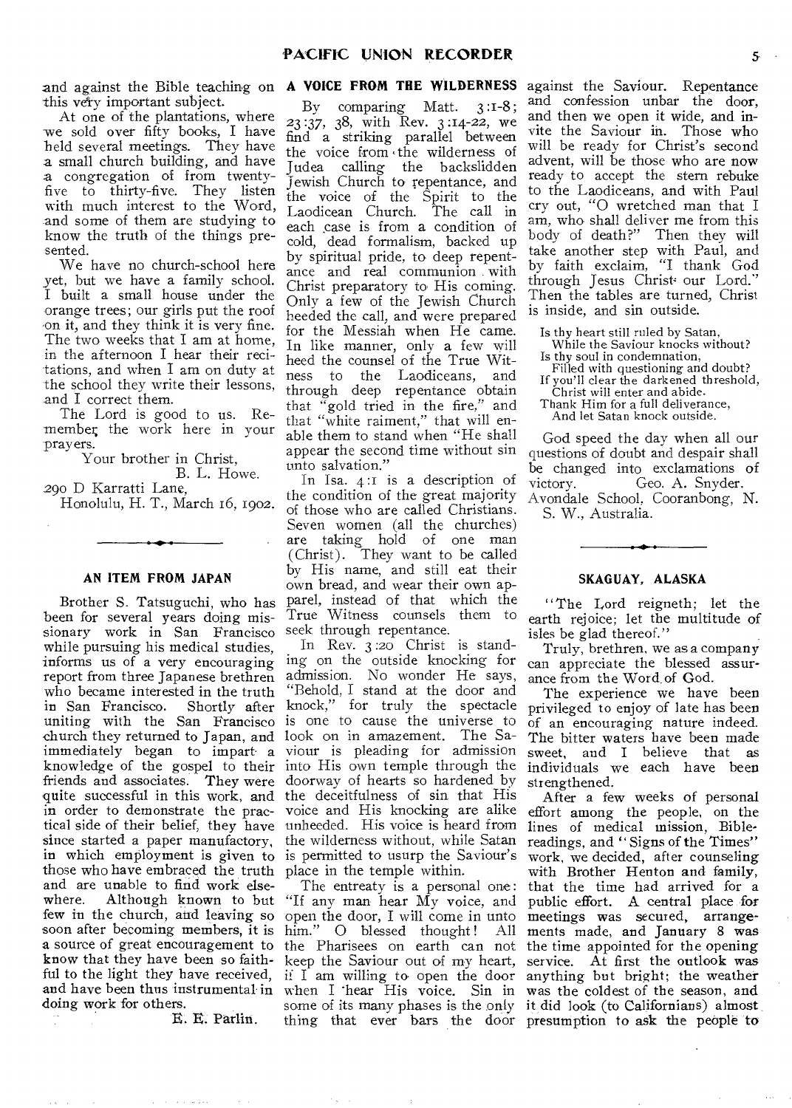and against the Bible teaching on **A VOICE FROM THE WILDERNESS**  this very important subject.

At one of the plantations, where we sold over fifty books, I have held several meetings. They have a small church building, and have a congregation of from twentyfive to thirty-five. They listen with much interest to the Word, and some of them are studying to know the truth of the things presented.

We have no church-school here yet, but we have a family school. I built a small house under the orange trees; our girls put the roof on it, and they think it is very fine. The two weeks that I am at home, in the afternoon I hear their recitations, and when I am on duty at the school they write their lessons, and I correct them.

The Lord is good to us. Remember the work here in your prayers.

Your brother in Christ,

B. L. Howe.

290 D Karratti Lane, Honolulu, H. T., March 16, 1902.

#### **AN ITEM FROM JAPAN**

Brother **S.** Tatsuguchi, who has been for several years doing missionary work in San Francisco while pursuing his medical studies, informs us of a very encouraging report from three Japanese brethren who became interested in the truth in San Francisco. Shortly after uniting with the San Francisco church they returned to Japan, and immediately began to impart a knowledge of the gospel to their friends and associates. They were quite successful in this work, and in order to demonstrate the practical side of their belief, they have since started a paper manufactory, in which employment is given to is permitted to usurp the Saviour's those who have embraced the truth place in the temple within. and are unable to find work elsewhere. Although known to but few in the church, and leaving so soon after becoming members, it is him." O blessed thought! All a source of great encouragement to know that they have been so faithful to the light they have received, and have been thus instrumental in doing work for others.

E. E. Partin.

By comparing Matt. 3 :1-8; 23 :37, 38, with Rev. 3 :14-22, we find a striking parallel between the voice from the wilderness of Judea calling the backslidden Jewish Church to repentance, and the voice of the Spirit to the<br>Laodicean Church. The call in Laodicean Church. each case is from a condition of cold, dead formalism, backed up by spiritual pride, to deep repentance and real communion with Christ preparatory to His coming. Only a few of the Jewish Church heeded the call, and were prepared for the Messiah when He came. In like manner, only a few will heed the counsel of the True Witness to the Laodiceans, and through deep repentance obtain that "gold tried in the fire," and that "white raiment," that will enable them to stand when "He shall appear the second time without sin unto salvation."

In Isa. 4:1 is a description of the condition of the great majority of those who, are called Christians. Seven women (all the churches) are taking hold of one man (Christ). They want to be called by His name, and still eat their own bread, and wear their own apparel, instead of that which the True Witness counsels them to seek through repentance.

In Rev. 3:2o Christ is standing on the outside knocking for admission. No wonder He says, "Behold, I stand at the door and knock," for truly the spectacle is one to cause the universe to look on in amazement. The Saviour is pleading for admission into His own temple through the doorway of hearts so hardened by the deceitfulness of sin that His voice and His knocking are alike unheeded. His voice is heard from the wilderness without, while Satan

The entreaty is a personal one: "If any man hear My voice, and open the door, I will come in unto him." O blessed thought! All<br>the Pharisees on earth can not keep the Saviour out of my heart, if  $I$  am willing to open the door when I hear His voice. Sin in some of its many phases is the only it did look (to Californians) almost thing that ever bars the door presumption to ask the people to

against the Saviour. Repentance and confession unbar the door, and then we open it wide, and invite the Saviour in. Those who will be ready for Christ's second advent, will be those who are now ready to accept the stern rebuke to the Laodiceans, and with Paul cry out, "0 wretched man that I am, who shall deliver me from this body of death?" Then they will take another step with Paul, and by faith exclaim, "I thank God through Jesus Christ our Lord." Then the tables are turned, Christ is inside, and sin outside.

Is thy heart still ruled by Satan,

- While the Saviour knocks without?
- Is thy soul in condemnation,
- Filled with questioning and doubt? If you'll clear the darkened threshold,

Christ will enter and abide. Thank Him for a full deliverance,

And let Satan knock outside.

God speed the day when all our questions of doubt and despair shall be changed into exclamations of victory. Geo. A. Snyder. Avondale School. Cooranbong, N.

S. W., Australia.

#### **SKAGUAY, ALASKA**

"The Lord reigneth; let the earth rejoice; let the multitude of isles be glad thereof."

Truly, brethren, we as a company can appreciate the blessed assurance from the Word of God.

The experience we have been privileged to enjoy of late has been of an encouraging nature indeed. The bitter waters have been made sweet, and I believe that as individuals we each have been strengthened.

After a few weeks of personal effort among the people, on the lines of medical mission, Biblereadings, and "Signs of the Times" work, we decided, after counseling with Brother Henton and family, that the time had arrived for a public effort. A central place for meetings was secured, arrangements made, and January 8 was the time appointed for the opening service. At first the outlook was anything but bright; the weather was the coldest of the season, and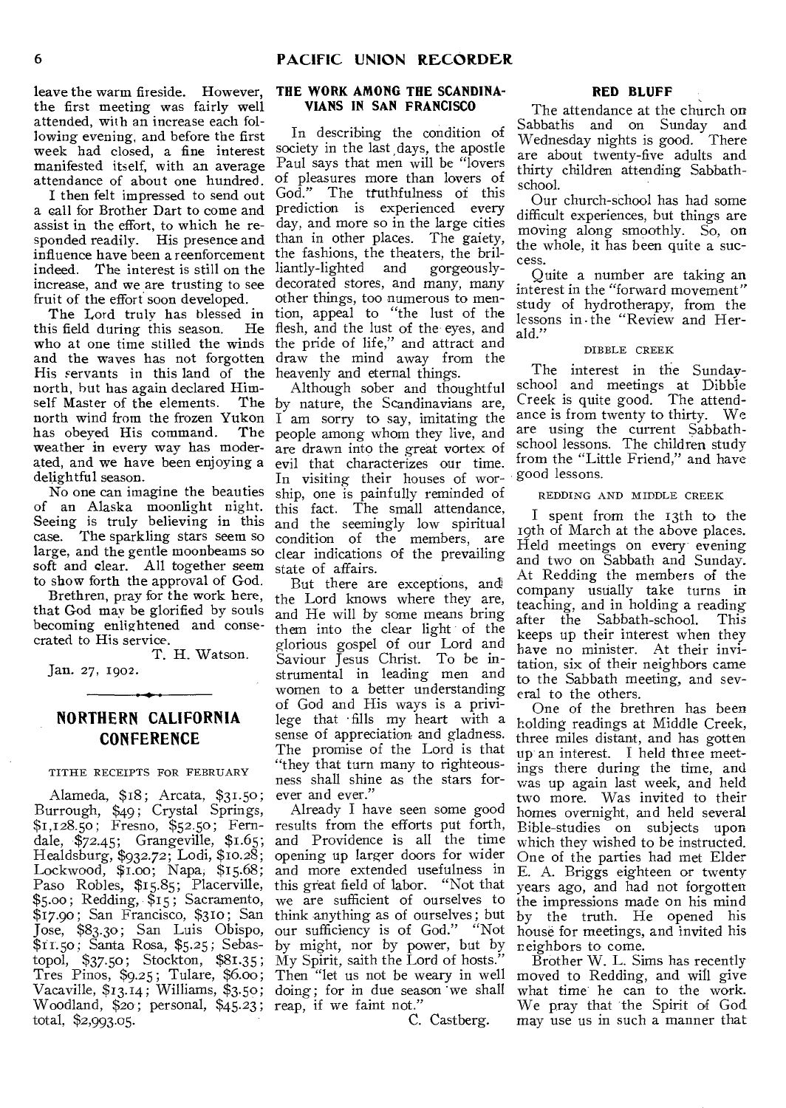leave the warm fireside. However, the first meeting was fairly well attended, with an increase each following evening, and before the first week had closed, a fine interest society in the last days, the apostle manifested itself, with an average attendance of about one hundred.

I then felt impressed to send out a call for Brother Dart to come and prediction is experienced every assist in the effort, to which he responded readily. His presence and than in other places. The gaiety, influence have been a reenforcement the fashions, the theaters, the brilindeed. The interest is still on the liantly-lighted and gorgeouslyincrease, and we are trusting to see fruit of the effort soon developed.

The Lord truly has blessed in<br>is field during this season. He this field during this season. who at one time stilled the winds and the waves has not forgotten His servants in this land of the heavenly and eternal things. north, hut has again declared Himself Master of the elements. north wind from the frozen Yukon<br>has obeved His command. The has obeyed His command. weather in every way has moderated, and we have been enjoying a delightful season.

No one can imagine the beauties of an Alaska moonlight night. Seeing is truly believing in this case. The sparkling stars seem so large, and the gentle moonbeams so soft and clear. All together seem to show forth the approval of God.

Brethren, pray for the work here, that God may be glorified by souls becoming enlightened and consecrated to His service.

T. H. Watson.

Jan. 27, 1902.

### **NORTHERN CALIFORNIA CONFERENCE**

TITHE RECEIPTS FOR FEBRUARY

Alameda, \$18; Arcata, \$31.50; Burrough, \$49; Crystal Springs, \$1,128.50 ; Fresno, \$52.50 ; Ferndale, \$72.45; Grangeville, \$1.65; Healdsburg, \$932.72; Lodi, \$10.28; Lockwood, \$1.00; Napa, \$15.68; Paso Robles, \$15.85; Placerville, \$5.00 ; Redding, \$15 ; Sacramento,  $$17.90$ ; San Francisco,  $$310$ ; San Jose, \$83.30; San Luis Obispo, \$11.5o ; Santa Rosa, \$5.25; Sebastopol, \$37.50 ; Stockton, \$81.35 ; Tres Pinos, \$9.25; Tulare, \$6.00; Vacaville, \$13.14; Williams, \$3.50; Woodland, \$20; personal, \$45.23; reap, if we faint not." total, \$2,993.05.

#### **THE WORK AMONG THE SCANDINA-VIANS IN SAN FRANCISCO**

In describing the condition of Paul says that men will be "lovers of pleasures more than lovers of God." The truthfulness of this day, and more so in the large cities decorated stores, and many, many other things, too numerous to mention, appeal to "the lust of the flesh, and the lust of the eyes, and the pride of life," and attract and draw the mind away from the

Although sober and thoughtful The by nature, the Scandinavians are, I am sorry to say, imitating the people among whom they live, and are drawn into the great vortex of evil that characterizes our time. In visiting their houses of worship, one is painfully reminded of this fact. The small attendance, and the seemingly low spiritual condition of the members, are clear indications of the prevailing state of affairs.

> But there are exceptions, and the Lord knows where they are, and He will by some means bring them into the clear light of the glorious gospel of our Lord and Saviour Jesus Christ. To be instrumental in leading men and women to a better understanding of God and His ways is a privilege that • fills my heart with a sense of appreciation and gladness. The promise of the Lord is that "they that turn many to righteousness shall shine as the stars forever and ever.'

Already I have seen some good results from the efforts put forth, and Providence is all the time opening up larger doors for wider and more extended usefulness in this great field of labor. "Not that we are sufficient of ourselves to think anything as of ourselves ; but our sufficiency is of God." "Not by might, nor by power, but by My Spirit, saith the Lord of hosts." Then "let us not be weary in well moved to Redding, and will give doing; for in due season 'we shall

C. Castberg.

#### **RED BLUFF**

The attendance at the church on Sabbaths and on Sunday and Wednesday nights is good. There are about twenty-five adults and thirty children attending Sabbathschool.

Our church-school has had some difficult experiences, but things are moving along smoothly. So, on the whole, it has been quite a success.

Quite a number are taking an interest in the "forward movement" study of hydrotherapy, from the lessons in the "Review and Herald."

#### DIBBLE CREEK

The interest in the Sundayschool and meetings at Dibble Creek is quite good. The attendance is from twenty to thirty. We are using the current Sabbathschool lessons. The children study from the "Little Friend," and have good lessons.

#### REDDING AND MIDDLE CREEK

I spent from the 13th to the 19th of March at the above places. Held meetings on every-evening and two on Sabbath and Sunday. At Redding the members of the company usually take turns in teaching, and in holding a reading after the Sabbath-school. This keeps up their interest when they have no minister. At their invitation, six of their neighbors came to the Sabbath meeting, and several to the others.

One of the brethren has been holding readings at Middle Creek, three miles distant, and has gotten up an interest. I held three meetings there during the time, and was up again last week, and held two more. Was invited to their homes overnight, and held several Bible-studies on subjects upon which they wished to be instructed. One of the parties had met Elder E. A. Briggs eighteen or twenty years ago, and had not forgotten the impressions made on his mind by the truth. He opened his house for meetings, and invited his neighbors to come.

Brother W. L. Sims has recently what time he can to the work. We pray that the Spirit of God may use us in such a manner that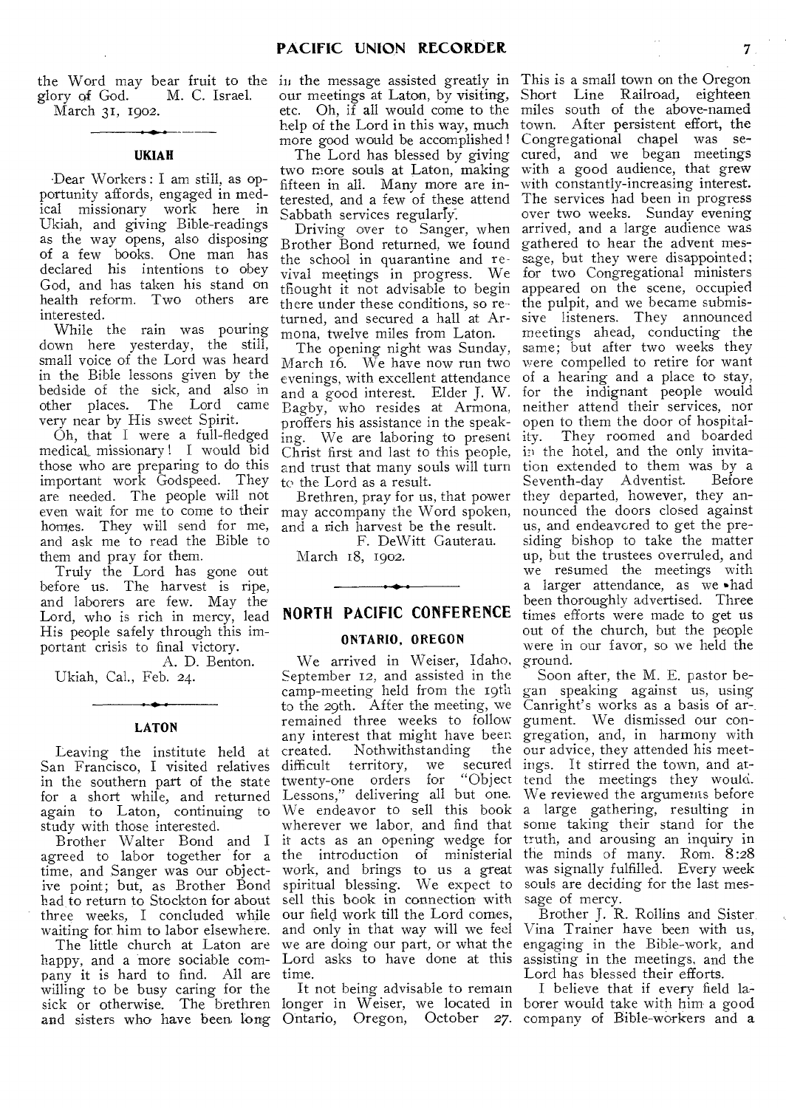glory of God. M. C. Israel. March 31, 1902.

#### **UKIAH**

Dear Workers : I am still, as opportunity affords, engaged in medical missionary work here in Ukiah, and giving Bible-readings as the way opens, also disposing of a few books. One man has declared his intentions to obey God, and has taken his stand on health reform. Two others are interested.

While the rain was pouring down here yesterday, the still, small voice of the Lord was heard in the Bible lessons given by the bedside of the sick, and also in other places. The Lord came very near by His sweet Spirit.

Oh, that I were a full-fledged medical, missionary ! I would bid those who are preparing to do this important work Godspeed. They are needed. The people will not even wait for me to come to their homes. They will send for me, and ask me to read the Bible to them and pray for them.

Truly the Lord has gone out before us. The harvest is ripe, and laborers are few. May the Lord, who is rich in mercy, lead **NORTH PACIFIC CONFERENCE**  His people safely through this important crisis to final victory.

A. D. Benton. Ukiah, Cal., Feb. 24.

## **LATON**

Leaving the institute held at San Francisco, I visited relatives in the southern part of the state for a short while, and returned again to Laton, continuing to study with those interested.

Brother Walter Bond and I agreed to labor together for a time, and Sanger was our objective point; but, as Brother Bond had to return to Stockton for about three weeks, I concluded while waiting for him to labor elsewhere.

The little church at Laton are happy, and a more sociable company it is hard to find. All are time. willing to be busy caring for the sick or otherwise. The brethren

the Word may bear fruit to the in the message assisted greatly in our meetings at Laton, by visiting, etc. Oh, if all would come to the help of the Lord in this way, much more good would be accomplished!

The Lord has blessed by giving two more souls at Laton, making fifteen in all. Many more are interested, and a few of these attend Sabbath services regularly.

Driving over to Sanger, when Brother Bond returned, we found the school in quarantine and revival meetings in progress. We tflought it not advisable to begin there under these conditions, so returned, and secured a hall at Armona, twelve miles from Laton.

The opening night was Sunday, March 16. We have now run two evenings, with excellent attendance and a good interest. Elder J. W. Bagby, who resides at Armona, proffers his assistance in the speaking. We are laboring to present Christ first and last to this people, and trust that many souls will turn to the Lord as a result.

Brethren, pray for us, that power may accompany the Word spoken, and a rich harvest be the result.

F. DeWitt Gauterau. March 18, 1902.

#### **ONTARIO, OREGON**

We arrived in Weiser, Idaho, September 12, and assisted in the remained three weeks to follow gument. We dismissed our conany interest that might have been gregation, and, in harmony with created. Nothwithstanding<br>difficult territory, we se difficult territory, we secured<br>twenty-one orders for "Object twenty-one orders for Lessons," delivering all but one. wherever we labor, and find that it acts as an opening wedge for the introduction of ministerial work, and brings to us a great spiritual blessing. We expect to sell this book in connection with our field work till the Lord comes, and only in that way will we feel

It not being advisable to remain longer in Weiser, we located in

This is a small town on the Oregon Short Line Railroad, eighteen miles south of the above-named town. After persistent effort, the Congregational chapel was secured, and we began meetings with a good audience, that grew with constantly-increasing interest. The services had been in progress over two weeks. Sunday evening arrived, and a large audience was gathered to hear the advent message, but they were disappointed; for two Congregational ministers appeared on the scene, occupied the pulpit, and we became submissive listeners. They announced meetings ahead, conducting the same; but after two weeks they were compelled to retire for want of a hearing and a place to stay, for the indignant people would neither attend their services, nor open to them the door of hospitality. They roomed and boarded in the hotel, and the only invitation extended to them was by a Seventh-day Adventist. Before they departed, however, they announced the doors closed against us, and endeavored to get the presiding bishop to take the matter up, but the trustees overruled, and we resumed the meetings with a larger attendance, as we •had been thoroughly advertised. Three times efforts were made to get us out of the church, but the people were in our favor, so we held the ground.

camp-meeting held from the 19th gan speaking against us, using to the 29th. After the meeting, we Canright's works as a basis of ar-. We endeavor to sell this book a large gathering, resulting in Soon after, the M. E. pastor bethe our advice, they attended his meetsecured ings. It stirred the town, and attend the meetings they would. We reviewed the arguments before some taking their stand for the truth, and arousing an inquiry in the minds of many. Rom. 8:28 was signally fulfilled. Every week souls are deciding for the last message of mercy.

we are doing our part, or what the engaging in the Bible-work, and Lord asks to have done at this assisting in the meetings, and the Brother J. R. Rollins and Sister, Vina Trainer have been with us, Lord has blessed their efforts.

and sisters who have been long Ontario, Oregon, October 27. company of Bible-workers and a I believe that if every field laborer would take with him a good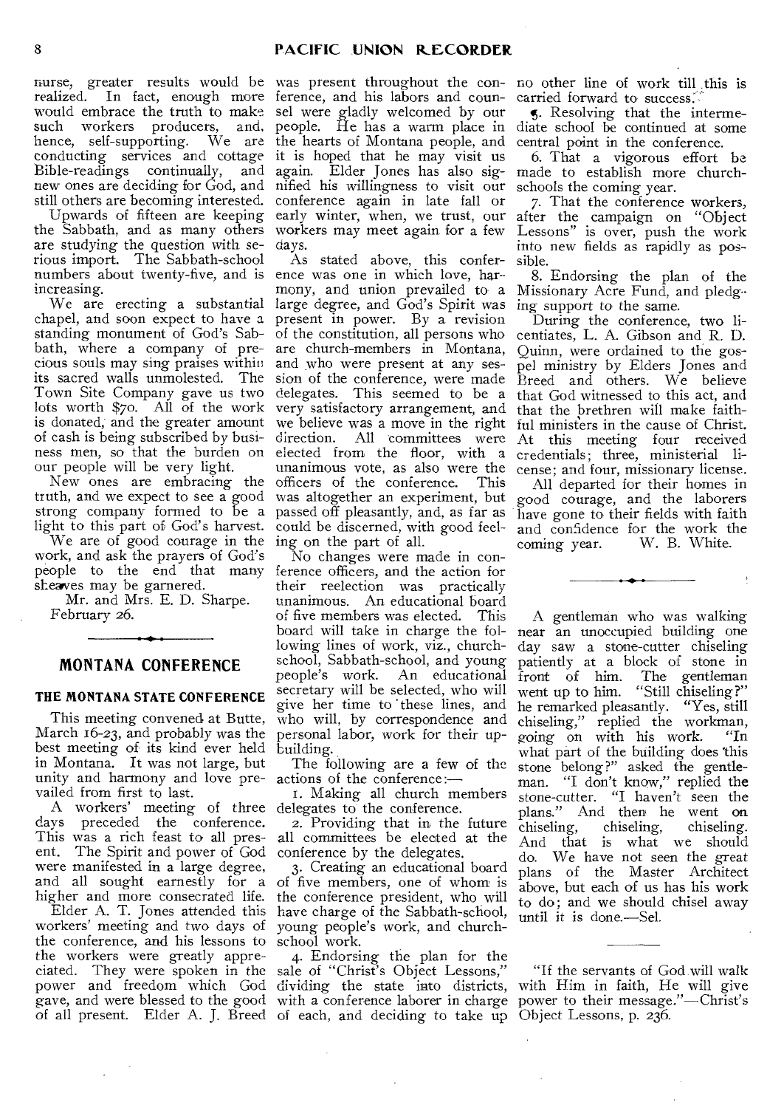nurse, greater results would be realized. In fact, enough more would embrace the truth to make<br>such workers producers, and, workers producers, and, hence, self-supporting. We are conducting services and cottage it is hoped that he may visit us Bible-readings continually, and new ones are deciding for God, and still others are becoming interested.

Upwards of fifteen are keeping the Sabbath, and as many others are studying the question with serious import. The Sabbath-school numbers about twenty-five, and is ence was one in which love, harincreasing.

chapel, and soon expect to have a standing monument of God's Sabbath, where a company of precious souls may sing praises within its sacred walls unmolested. The Town Site Company gave us two lots worth \$7o. All of the work is donated; and the greater amount of cash is being subscribed by business men, so that the burden on our people will be very light.

New ones are embracing the truth, and we expect to see a good light to this part of God's harvest.

We are of good courage in the ing on the part of all. work, and ask the prayers of God's shearves may be garnered.

Mr. and Mrs. E. D. Sharpe. February 26.

#### **MONTANA CONFERENCE**

#### **THE MONTANA STATE CONFERENCE**

This meeting convened at Butte, March 16-23, and probably was the best meeting of its kind ever held in Montana. It was not large, but unity and harmony and love prevailed from first to last.

A workers' meeting of three delegates to the conference. days preceded the conference. This was a rich feast to all present. The Spirit and power of God were manifested in a large degree, and all sought earnestly for a higher and more consecrated life.

workers' meeting and two days of the conference, and his lessons to school work. the workers were greatly appreciated. They were spoken in the sale of "Christ's Object Lessons," power and freedom which God dividing the state into districts, with Him in faith, He will give gave, and were blessed to the good with a conference laborer in charge power to their message."—Christ's

was present throughout the conference, and his labors and counsel were gladly welcomed by our people. He has a warm place in the hearts of Montana people, and central point in the conference. again. Elder Jones has also signified his willingness to visit our conference again in late fall or early winter, when, we trust, our workers may meet again for a few days.

We are erecting a substantial large degree, and God's Spirit was ing support to the same. strong company formed to be a passed off pleasantly, and, as far as As stated above, this confermony, and union prevailed to a Missionary Acre Fund, and pledgpresent in power. By a revision of the constitution, all persons who are church-members in Montana, and who were present at any session of the conference, were made delegates. This seemed to be a that God witnessed to this act, and very satisfactory arrangement, and we believe was a move in the right direction. All committees were elected from the floor, with a unanimous vote, as also were the officers of the conference. was altogether an experiment, but could be discerned, with good feel-

people to the end that many ference officers, and the action for No changes were made in contheir reelection was practically unanimous. An educational board<br>of five members was elected. This of five members was elected. board will take in charge the following lines of work, viz., churchschool, Sabbath-school, and young people's work. An educational secretary will be selected, who will give her time to 'these lines, and who will, by correspondence and personal labor, work for their upbuilding.

> The following are a few of the actions of the conference:—

r. Making all church members

2. Providing that in the future all committees be elected at the conference by the delegates.

Elder A. T. Jones attended this have charge of the Sabbath-school, 3. Creating an educational board of five members, one of whom is the conference president, who will young people's work, and church-

of all present. Elder A. J. Breed of each, and deciding to take up Object Lessons, p. 236. 4. Endorsing the plan for the

no other line of work till this is carried forward to success:

5. Resolving that the intermediate school be continued at some

6. That a vigorous effort be made to establish more churchschools the coming year.

7. That the conference workers, after the campaign on "Object Lessons" is over, push the work into new fields as rapidly as possible.

8. Endorsing the plan of the

During the conference, two licentiates, L. A. Gibson and R. D. Quinn, were ordained to the gospel ministry by Elders Jones and Breed and others. We believe that the brethren will make faithful ministers in the cause of Christ. At this meeting four received credentials; three, ministerial license; and four, missionary license.

All departed for their homes in good courage, and the laborers have gone to their fields with faith and confidence for the work the coming year. W. B. White. W. B. White.

A gentleman who was walking near an unoccupied building one day saw a stone-cutter chiseling patiently at a block of stone in front of him. The gentleman went up to him. "Still chiseling?" he remarked pleasantly. "Yes, still chiseling," replied the workman, going on with his work. "In what part of the building does this stone belong?" asked the gentleman. "I don't know," replied the stone-cutter. "I haven't seen the plans." And then he went on chiseling, chiseling, chiseling. And that is what we should do. We have not seen the great plans of the Master Architect above, but each of us has his work to do; and we should chisel away until it is done.—Sel.

"If the servants of God will walk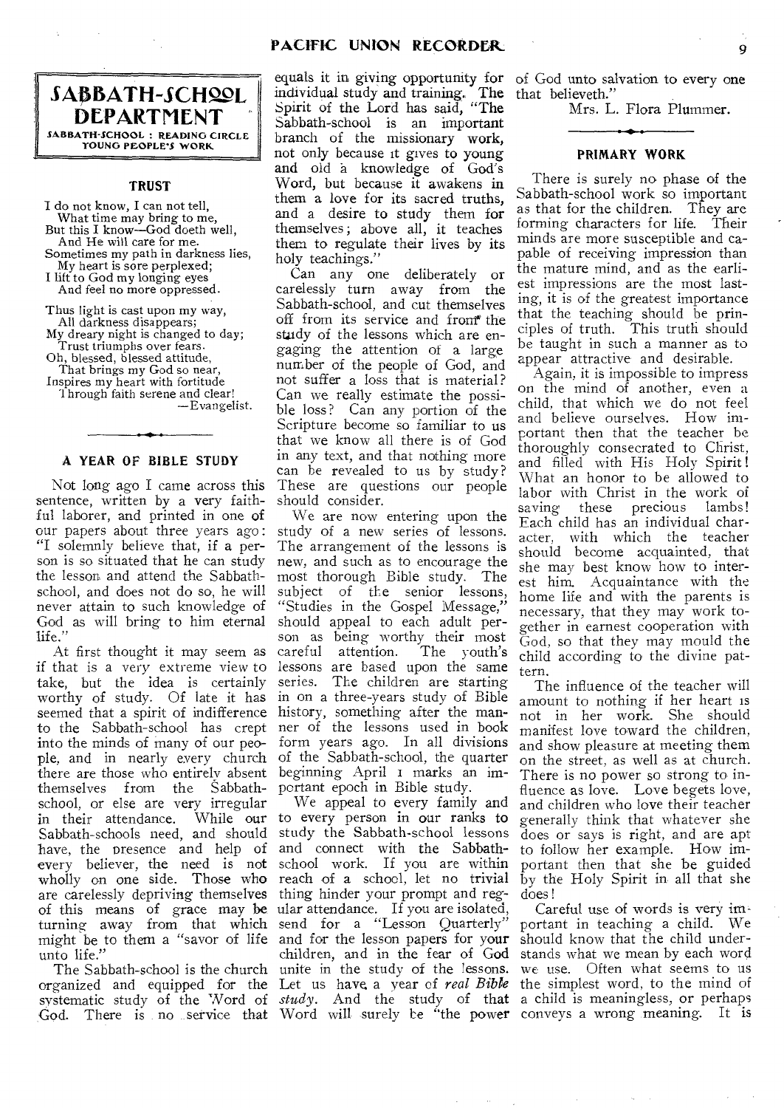

#### **TRUST**

I do not know, I can not tell, What time may bring to me, But this I know—God doeth well, And He will care for me. Sometimes my path in darkness lies,

My heart is sore perplexed;

I lift to God my longing eyes And feel no more oppressed.

Thus light is cast upon my way, All darkness disappears; My dreary night is changed to day; Trust triumphs over fears. Oh, blessed, blessed attitude, That brings my God so near, Inspires my heart with fortitude 1hrough faith serene and clear!

—Evangelist.

## • O • **A YEAR OF BIBLE STUDY**

Not long ago I came across this sentence, written by a very faithful laborer, and printed in one of our papers about three years ago: "I solemnly believe that, if a person is so situated that he can study the lesson and attend the Sabbathschool, and does not do so, he will never attain to such knowledge of God as will bring to him eternal life.'

if that is a very extreme view to lessons are based upon the same take, but the idea is certainly series. The children are starting worthy of study. Of late it has in on a three-years study of Bible seemed that a spirit of indifference history, something after the manto the Sabbath-school has crept ner of the lessons used in book into the minds of many of our people, and in nearly every church of the Sabbath-school, the quarter there are those who entirely absent beginning April 1 marks an imthemselves from the Sabbath-portant epoch in Bible study. school, or else are very irregular<br>in their attendance. While our in their attendance. Sabbath-schools need, and should have, the presence and help of every believer, the need is not wholly on one side. Those who are carelessly depriving themselves of this means of grace may be ular attendance. If you are isolated, turning away from that which might be to them a "savor of life unto life."

God. There is no service that Word will surely be "the power conveys a wrong meaning. It is

individual study and training. The Spirit of the Lord has said, "The Sabbath-school is an important branch of the missionary work, not only because it gives to young and old a knowledge of God's Word, but because it awakens in them a love for its sacred truths, and a desire to study them for themselves ; above all, it teaches them to regulate their lives by its holy teachings."

Can any one deliberately or carelessly turn away from the Sabbath-school, and cut themselves off from its service and from the study of the lessons which are engaging the attention of a large number of the people of God, and not suffer a loss that is material? Can we really estimate the possible loss? Can any portion of the Scripture become so familiar to us that we know all there is of God in any text, and that nothing more can be revealed to us by study? These are questions our people should consider.

At first thought it may seem as careful attention. The youth's We are now entering upon the study of a new series of lessons. The arrangement of the lessons is new, and such as to encourage the most thorough Bible study. The subject of the senior lessons, "Studies in the Gospel Message," should appeal to each adult person as being worthy their most<br>careful attention. The youth's form years ago. In all divisions

The Sabbath-school is the church unite in the study of the lessons. organized and equipped for the Let us have a year of *real Bible*  We appeal to every family and to every person in our ranks **to**  study the Sabbath-school lessons and connect with the Sabbathschool work. If you are within reach of a school, let no trivial thing hinder your prompt and regsend for a "Lesson Quarterly" and for the lesson papers for your children, and in the fear of God

equals it in giving opportunity for of God unto salvation to every one The that believeth."

Mrs. L. Flora Plummer.

#### **PRIMARY WORK**

There is surely no phase of the Sabbath-school work so important as that for the children. They are forming characters for life. Their minds are more susceptible and capable of receiving impression than the mature mind, and as the earliest impressions are the most lasting, it is of the greatest importance that the teaching should be principles of truth. This truth should be taught in such a manner as to appear attractive and desirable.

Again, it is impossible to impress on the mind of another, even a child, that which we do not feel and believe ourselves. How important then that the teacher be thoroughly consecrated to Christ, and filled with His Holy Spirit ! What an honor to be allowed to labor with Christ in the work of<br>saving these precious lambs! saving these precious Each child has an individual character, with which the teacher should become acquainted, that she may best know how to interest him. Acquaintance with the home life and with the parents is necessary, that they may work together in earnest cooperation with God, so that they may mould the child according to the divine pattern.

The influence of the teacher will amount to nothing if her heart is not in her work. She should manifest love toward the children, and show pleasure at meeting them on the street, as well as at church. There is no power so strong to influence as love. Love begets love, and children who love their teacher generally think that whatever she does or says is right, and are apt to follow her example. How important then that she be guided by the Holy Spirit in all that she does!

systematic study of the Word of *study*. And the study of that a child is meaningless, or perhaps Careful use of words is very important in teaching a child. We should know that the child understands what we mean by each word we use. Often what seems to us the simplest word, to the mind of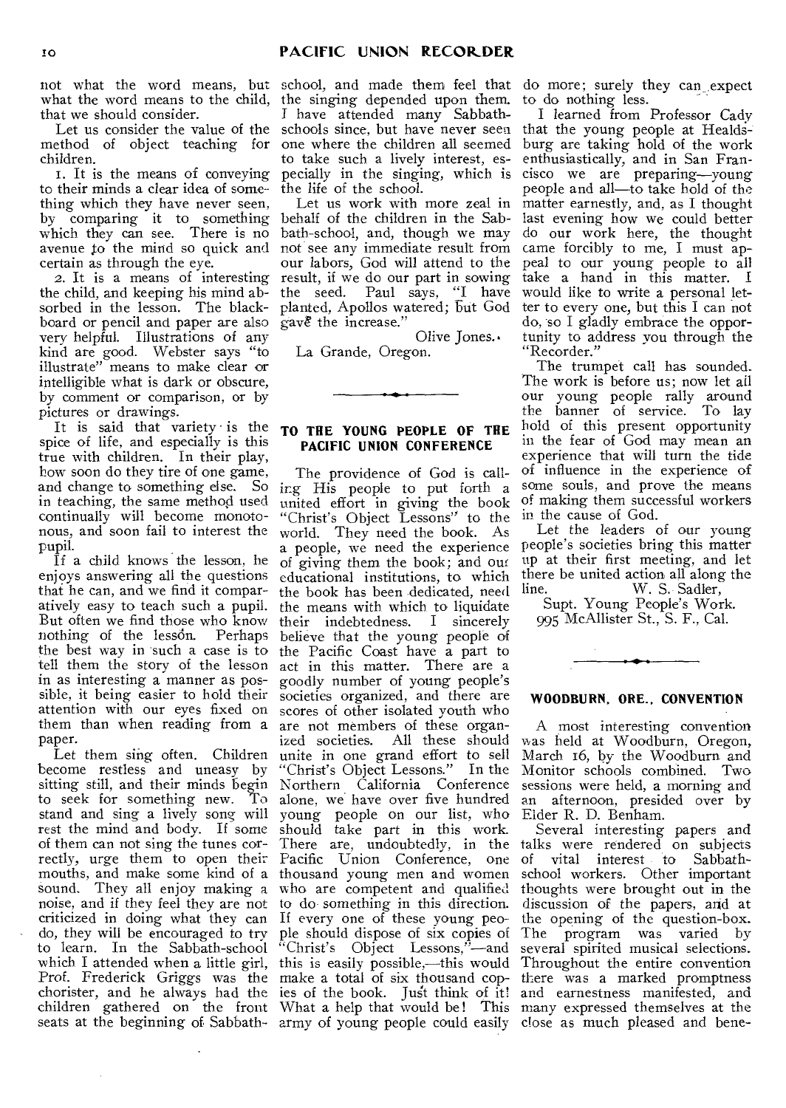what the word means to the child, that we should consider.

Let us consider the value of the method of object teaching for children.

i. It is the means of conveying to their minds a clear idea of something which they have never seen, by comparing it to something which they can see. There is no avenue to the mind so quick and certain as through the eye.

2. It is a means of interesting the child, and keeping his mind absorbed in the lesson. The blackboard or pencil and paper are also very helpful. Illustrations of any kind are good. Webster says "to illustrate" means to make clear or intelligible what is dark or obscure, by comment or comparison, or by pictures or drawings.

It is said that variety is the spice of life, and especially is this true with children. In their play, how soon do they tire of one game, and change to something else. So in teaching, the same method used continually will become monotonous, and soon fail to interest the pupil.

If a child knows the lesson, he enjoys answering all the questions that he can, and we find it comparatively easy to teach such a pupil. But often we find those who know<br>nothing of the lesson. Perhaps nothing of the lesson. the best way in such a case is to tell them the story of the lesson in as interesting a manner as possible, it being easier to hold their attention with our eyes fixed on them than when reading from a paper.

Let them sing often. Children become restless and uneasy by sitting still, and their minds begin to seek for something new. To stand and sing a lively song will young people on our list, who rest the mind and body. If some should take part in this work. of them can not sing the tunes correctly, urge them to open their Pacific Union Conference, one mouths, and make some kind of a thousand young men and women school workers. Other important sound. They all enjoy making a who are competent and qualified thoughts were brought out in the noise, and if they feel they are not to do something in this direction. discussion of the papers, arid at criticized in doing what they can If every one of these young peodo, they will be encouraged to try to learn. In the Sabbath-school which I attended when a little girl, this is easily possible,—this would Throughout the entire convention Prof. Frederick *Griggs* was the make a total of six thousand cop-there was a marked promptness chorister, and he always had the ies of the book. Just think of it! and earnestness manifested, and children gathered on the front What a help that would be! This many expressed themselves at the

not what the word means, but school, and made them feel that do more; surely they can expect the singing depended upon them. I have attended many Sabbathschools since, but have never seen one where the children all seemed to take such a lively interest, esthe life of the school.

> Let us work with more zeal in behalf of the children in the Sabbath-school, and, though we may not see any immediate result from our labors, God will attend to the result, if we do our part in sowing the seed. Paul says, "I have planted, Apollos watered; but God gave the increase."

Olive Jones.. La Grande, Oregon.

#### **TO THE YOUNG PEOPLE OF THE PACIFIC UNION CONFERENCE**

seats at the beginning of Sabbath-army of young people could easily dose as much pleased and bene- The providence of God is calling His people to put forth a united effort in giving the book "Christ's Object Lessons" to the world. They need the book. As a people, we need the experience of giving them, the book; and our educational institutions, to which the book has been dedicated, need the means with which to liquidate their indebtedness. I sincerely believe that the young people of the Pacific Coast have a part to act in this matter. There are a goodly number of young people's societies organized, and there are scores of other isolated youth who are not members of these organized societies. All these should unite in one grand effort to sell<br>"Christ's Object Lessons." In the "Christ's Object Lessons." Northern California Conference alone, we have over five hundred There are, undoubtedly, in the talks were rendered on subjects ple should dispose of six copies of "Christ's Object Lessons,"—and

to do nothing less.

pecially in the singing, which is cisco we are preparing—young I learned from Professor Cady that the young people at Healdsburg are taking hold of the work enthusiastically, and in San Franpeople and all—to take hold of the matter earnestly, and, as I thought last evening how we could better do our work here, the thought came forcibly to me, I must appeal to our young people to all take a hand in this matter. I would like to write a personal letter to every one, but this I can not do, so I gladly embrace the opportunity to address you through the "Recorder."

The trumpet call has sounded. The work is before us; now let all our young people rally around the banner of service. To lay hold of this present opportunity in the fear of God may mean an experience that will turn the tide of influence in the experience of some souls, and prove the means of making them successful workers in the cause of God.

Let the leaders of our young people's societies bring this matter up at their first meeting, and let there be united action all along the line. W. S. Sadler,

Supt. Young People's Work. 995 McAllister St., S. F., Cal.

#### **WOODBURN, ORE.. CONVENTION**

A most interesting convention was held at Woodburn, Oregon, March i6, by the Woodburn and Monitor schools combined. Two sessions were held, a morning and an afternoon, presided over by Eider R. D. Benham.

Several interesting papers and vital interest to Sabbaththe opening of the question-box. The program was varied by several spirited musical selections.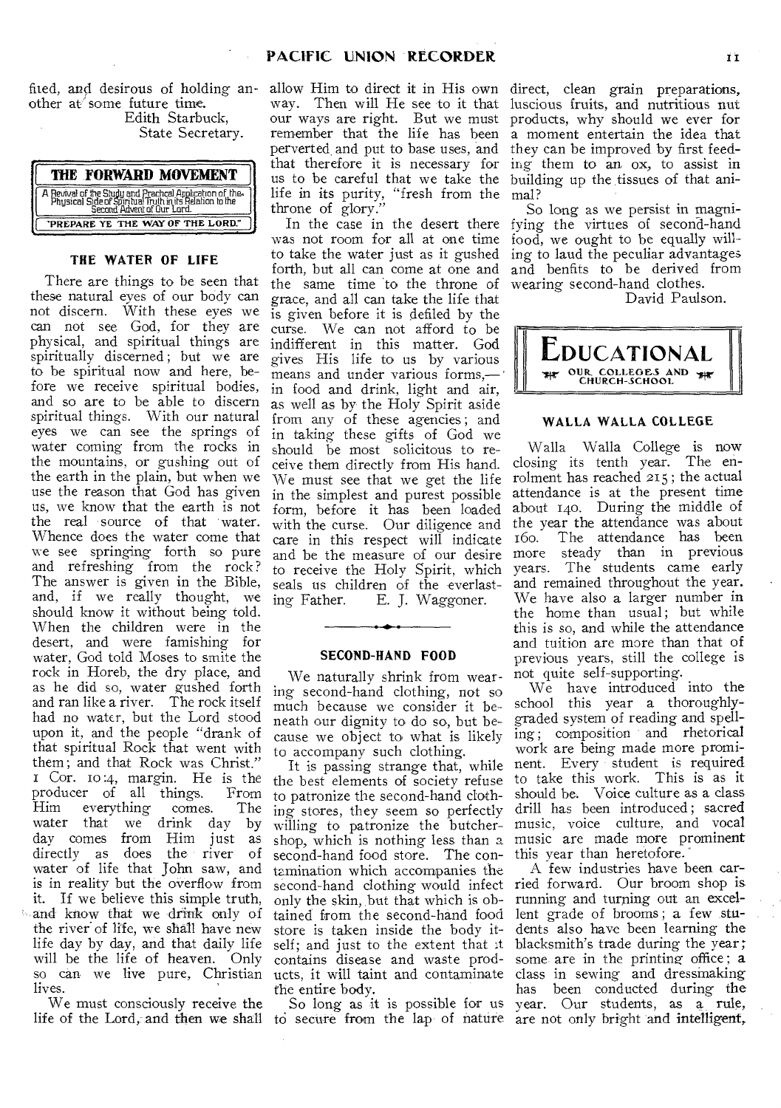fited, and desirous of holding another at' some future time. Edith Starbuck, State Secretary.

| THE FORWARD MOVEMENT                                                                                                                            |
|-------------------------------------------------------------------------------------------------------------------------------------------------|
| A Revival of the Study and Prachcal Application of the<br>Physical Side of Spiritual Truth in its Relation to the<br>Second Advent of Our Lord. |
| PREPARE YE THE WAY OF THE LORD."                                                                                                                |

#### **THE WATER OF LIFE**

There are things to be seen that these natural eyes of our body can not discern. With these eyes we can not see God, for they are physical, and spiritual things are spiritually discerned ; but we are to be spiritual now and here, before we receive spiritual bodies, and so are to be able to discern spiritual things. With our natural eyes we can see the springs of water coming from the rocks in the mountains, or gushing out of the earth in the plain, but when we use the reason that God has given us, we know that the earth is not the real source of that water. Whence does the water come that we see springing forth so pure and refreshing from the rock? The answer is given in the Bible, and, if we really thought, we should know it without being told. When the children were in the desert, and were famishing for water, God told Moses to smite the rock in Horeb, the dry place, and as he did so, water gushed forth and ran like a river. The rock itself had no water, but the Lord stood upon it, and the people "drank of that spiritual Rock that went with them; and that Rock was Christ." Cor. io :4, margin. He is the producer of all things. From everything water that we drink day by day comes from Him just as directly as does the river of water of life that John saw, and is in reality but the overflow from it. If we believe this simple truth, and know that we drink only of the river of life, we shall have new life day by day, and that daily life will be the life of heaven. Only lives.

We must consciously receive the

allow Him to direct it in His own way. Then will He see to it that our ways are right. But we must remember that the life has been perverted, and put to base uses, and that therefore it is necessary for us to be careful that we take the life in its purity, "fresh from the throne of glory."

was not room for all at one time food, we ought to be equally willto take the water just as it gushed forth, but all can come at one and the same time to the throne of grace, and all can take the life that is given before it is defiled by the curse. We can not afford to be indifferent in this matter. God gives His life to us by various means and under various forms, in food and drink, light and air, as well as by the Holy Spirit aside from any of these agencies ; and in taking these gifts of God we should be most solicitous to receive them directly from His hand. We must see that we get the life in the simplest and purest possible form, before it has been loaded with the curse. Our diligence and care in this respect will indicate and be the measure of our desire to receive the Holy Spirit, which seals us children of the everlasting Father. E. J. Waggoner.

#### **SECOND-HAND FOOD**

We naturally shrink from wear- not quite self-supporting. ing second-hand clothing, not so much because we consider it beneath our dignity to do so, but because we object to what is likely to accompany such clothing.

so can we live pure, Christian ucts, it will taint and contaminate class in sewing and dressmaking the best elements of society refuse to take this work. This is as it to patronize the second-hand clothing stores, they seem so perfectly willing to patronize the butcher- music, voice culture, and vocal shop, which is nothing less than a music are made more prominent second-hand food store. The con-this year than heretofore. tamination which accompanies the only the skin, but that which is obtained from the second-hand food lent grade of brooms ; a few stustore is taken inside the body itself; and just to the extent that it contains disease and waste prodthe entire body.

So long as it is possible for us

direct, clean grain preparations, luscious fruits, and nutritious nut products, why should we ever for a moment entertain the idea that they can be improved by first feeding them to an ox, to assist in building up the tissues of that animal?

In the case in the desert there fying the virtues of second-hand So long as we persist in magniing to laud the peculiar advantages and benfits to be derived from wearing second-hand clothes.

David Paulson.



#### **WALLA WALLA COLLEGE**

Walla Walla College is now closing its tenth year. The enrolment has reached 215 ; the actual attendance is at the present time about 140. During the middle of the year the attendance was about i6o. The attendance has been more steady than in previous years. The students came early and remained throughout the year. We have also a larger number in the home than usual; but while this is so, and while the attendance and tuition are more than that of previous years, still the college is

It is passing strange that, while nent. Every student is required We have introduced into the school this year a thoroughlygraded system of reading and spelling ; composition and rhetorical work are being made more promishould be. Voice culture as a class drill has been introduced; sacred

life of the Lord, and then we shall to secure from the lap of nature are not only bright and intelligent, second-hand clothing would infect ried forward. Our broom shop is A few industries have been carrunning and turning out an exceldents also have been learning the blacksmith's trade during the year; some are in the printing office ; a has been conducted during the year. Our students, as a rule,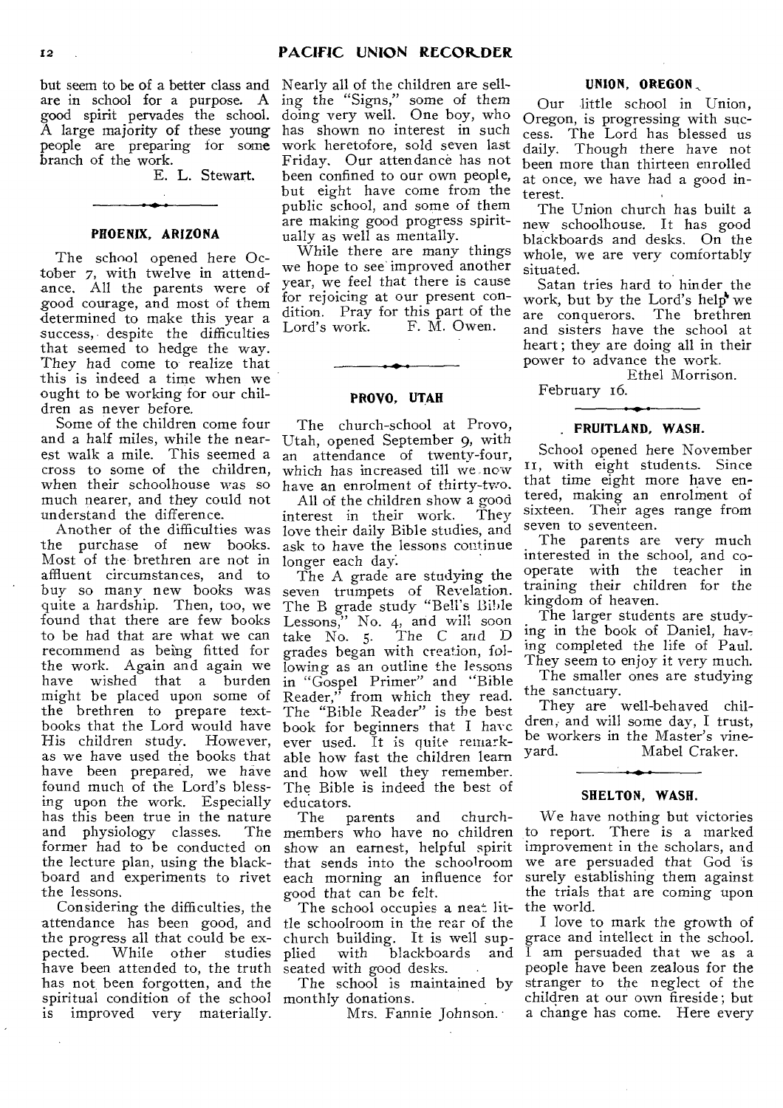but seem to be of a better class and are in school for a purpose. A good spirit pervades the school. A large majority of these young people are preparing for some branch of the work.

E. L. Stewart.

#### **PHOENIX, ARIZONA**

The school opened here October 7, with twelve in attendance. All the parents were of good courage, and most of them determined to make this year a success, despite the difficulties that seemed to hedge the way. They had come to realize that this is indeed a time when we ought to be working for our children as never before.

Some of the children come four and a half miles, while the nearest walk a mile. This seemed a cross to some of the children, when their schoolhouse was so much nearer, and they could not understand the difference.

Another of the difficulties was the purchase of new books. Most of the brethren are not in affluent circumstances, and to buy so many new books was quite a hardship. Then, too, we found that there are few books to be had that are what we can recommend as being fitted for the work. Again and again we have wished that a burden might be placed upon some of the brethren to prepare textbooks that the Lord would have His children study. However, as we have used the books that have been prepared, we have found much of the Lord's blessing upon the work. Especially has this been true in the nature and physiology classes. former had to be conducted on the lecture plan, using the blackboard and experiments to rivet the lessons.

Considering the difficulties, the attendance has been good, and the progress all that could be expected. While other studies have been attended to, the truth has not, been forgotten, and the spiritual condition of the school monthly donations. is improved very materially.

Nearly all of the children are selling the "Signs," some of them doing very well. One boy, who has shown no interest in such work heretofore, sold seven last Friday. Our attendance has not been confined to our own people, but eight have come from the public school, and some of them are making good progress spiritually as well as mentally.

While there are many things we hope to see' improved another year, we feel that there is cause for rejoicing at our present condition. Pray for this part of the<br>Lord's work. F. M. Owen. F. M. Owen.

#### **PROVO, UTAH**

The church-school at Provo, Utah, opened September 9, with an attendance of twenty-four, which has increased till we now have an enrolment of thirty-two.

All of the children show a good<br>terest in their work. They interest in their work. love their daily Bible studies, and ask to have the lessons continue longer each day:

The A grade are studying the seven trumpets of Revelation. The B grade study "Bell's Bible Lessons," No. 4, and will soon take No. 5. The C and D grades began with creation, following as an outline the lessons in "Gospel Primer" and "Bible Reader," from which they read. The "Bible Reader" is the best book for beginners that I have ever used. It is quite remarkable how fast the children learn and how well they remember. The Bible is indeed the best of educators.<br>The p

parents and church-The members who have no children show an earnest, helpful spirit that sends into the schoolroom each morning an influence for good that can be felt.

The school occupies a neat little schoolroom in the rear of the church building. It is well supplied with blackboards and seated with good desks.

The school is maintained by

Mrs. Fannie Johnson.

#### **UNION, OREGON.,**

Our little school in Union, Oregon, is progressing with success. The Lord has blessed us daily. Though there have not been more than thirteen enrolled at once, we have had a good interest.

The Union church has built a new schoolhouse. It has good blackboards and desks. On the whole, we are very comfortably situated.

Satan tries hard to hinder the work, but by the Lord's help we<br>are conquerors. The brethren are conquerors. and *sisters* have the school at heart ; they are doing all in their power to advance the work.

Ethel Morrison.

February i6.

#### **FRUITLAND, WASH.**

School opened here November II, with eight students. Since that time eight more have entered, making an enrolment of sixteen. Their ages range from seven to seventeen.

The parents are very much interested in the school, and cooperate with the teacher in training their children for the kingdom of heaven.

The larger students are studying in the book of Daniel, having completed the life of Paul. They seem to enjoy it very much.

The smaller ones are studying the sanctuary.

They are well-behaved children, and will some day, I trust, be workers in the Master's vine-<br>yard. Mabel Craker. Mabel Craker.

#### **SHELTON, WASH.**

We have nothing but victories to report. There is a marked improvement in the scholars, and we are persuaded that God is surely establishing them against the trials that are coming upon the world.

I love to mark the growth of grace and intellect in the school. I am persuaded that we as a people have been zealous for the stranger to the neglect of the children at our own fireside ; but a change has come. Here every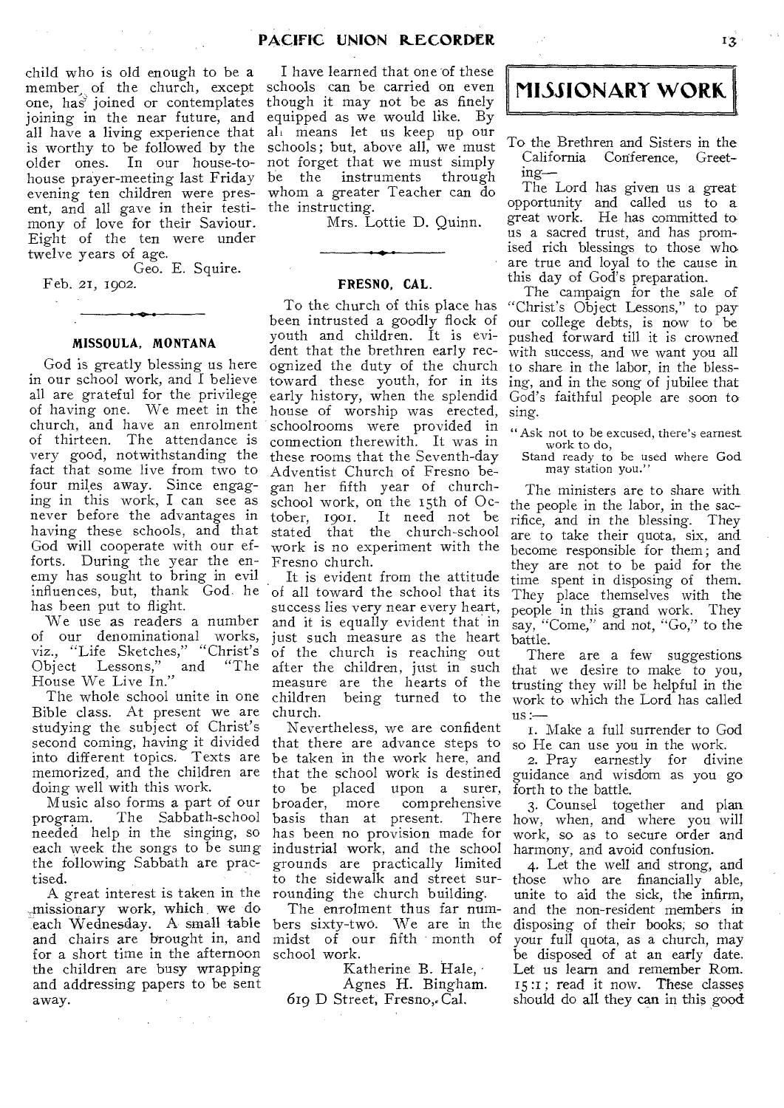child who is old enough to be a  $m = m$  of the church, except one, has joined or contemplates joining in the near future, and equipped as we would like. By all have a living experience that is worthy to be followed by the older ones. In our house-tohouse prayer-meeting last Friday be the instruments through evening ten children were pres-whom a greater Teacher can do ent, and all gave in their testi- the instructing. mony of love for their Saviour. Eight of the ten were under twelve years of age.

Geo. E. Squire.

Feb. 21, 1902.

#### **MISSOULA, MONTANA**

God is greatly blessing us here in our school work, and I believe all are grateful for the privilege of having one. We meet in the church, and have an enrolment of thirteen. The attendance is very good, notwithstanding the fact that some live from two to four miles away. Since engaging in this work, I can see as never before the advantages in having these schools, and that God will cooperate with our efforts. During the year the enemy has sought to bring in evil influences, but, thank God. he has been put to flight.

We use as readers a number of our denominational works, viz., "Life Sketches," "Christ's Object Lessons," and "The House We Live In."

The whole school unite in one Bible class. At present we are studying the subject of Christ's second coming, having it divided into different topics. Texts are memorized, and the children are doing well with this work.

Music also forms a part of our program. The Sabbath-school needed help in the singing, so each week the songs to be sung the following Sabbath are practised.

A great interest is taken in the missionary work, which we do each Wednesday. A small table and chairs are brought in, and for a short time in the afternoon the children are busy wrapping and addressing papers to be sent away.

 $\label{eq:2.1} \left\langle \mathcal{L}_{\mathcal{A}}\right\rangle =\left\langle \mathcal{L}_{\mathcal{A}}\right\rangle =\left\langle \mathcal{L}_{\mathcal{A}}\right\rangle =\left\langle \mathcal{L}_{\mathcal{A}}\right\rangle =\mathcal{L}_{\mathcal{A}}$ 

I have learned that one of these schools can be carried on even though it may not be as finely ali means let us keep up our schools; but, above all, we must not forget that we must simply

Mrs. Lottie D. Quinn.

#### **FRESNO, CAL.**

To the church of this place has been intrusted a goodly flock of youth and children. It is evident that the brethren early recognized the duty of the church toward these youth, for in its early history, when the splendid house of worship was erected, schoolrooms were provided in connection therewith. It was in these rooms that the Seventh-day Adventist Church of Fresno began her fifth year of churchschool work, on the 15th of October, 1901. It need not be stated that the church-school work is no experiment with the Fresno church.

It is evident from the attitude of all toward the school that its success lies very near every heart, and it is equally evident that in just such measure as the heart of the church is reaching out after the children, just in such measure are the hearts of the<br>children being turned to the being turned to the church.

Nevertheless, we are confident that there are advance steps to be taken in the work here, and that the school work is destined to be placed upon a surer, broader, more comprehensive<br>basis than at present. There basis than at present. has been no provision made for industrial work, and the school grounds are practically limited to the sidewalk and street surrounding the church building.

The enrolment thus far numbers sixty-two. We are in the midst of our fifth month of school work.

Katherine B. Hale, Agnes H. Bingham. 619 D Street, Fresno, Cal.

## MISSIONARY WORK.

To the Brethren and Sisters in the California Conference, Greeting—

The Lord has given us a great opportunity and called us to a great work. He has committed to, us a sacred trust, and has promised rich blessings to those who are true and loyal to the cause in this day of God's preparation.

The campaign for the sale of "Christ's Object Lessons," to pay our college debts, is now to be pushed forward till it is crowned with success, and we want you all to share in the labor, in the blessing, and in the song of jubilee that God's faithful people are soon to sing.

"Ask not to be excused, there's earnest

work to do, Stand ready to be used where God may station you."

The ministers are to share with the people in the labor, in the sacrifice, and in the blessing. They are to take their quota, six, and become responsible for them; and they are not to be paid for the time spent in disposing of them. They place themselves with the people in this grand work. They say, "Come," and not, "Go," to the battle.

There are a few suggestions that we desire to make to you, trusting they will be helpful in the work to which the Lord has called us:

I. Make a full surrender to God so He can use you in the work.

2. Pray earnestly for divine guidance and wisdom as you go forth to the battle.

3. Counsel together and plan how, when, and where you will work, so as to secure order and harmony, and avoid confusion.

4. Let the well and strong, and those who are financially able, unite to aid the sick, the infirm, and the non-resident members in disposing of their books; so that your full quota, as a church, may be disposed of at an early date. Let us learn and remember Rom. 15:1; read it now. These classes should do all they can in this good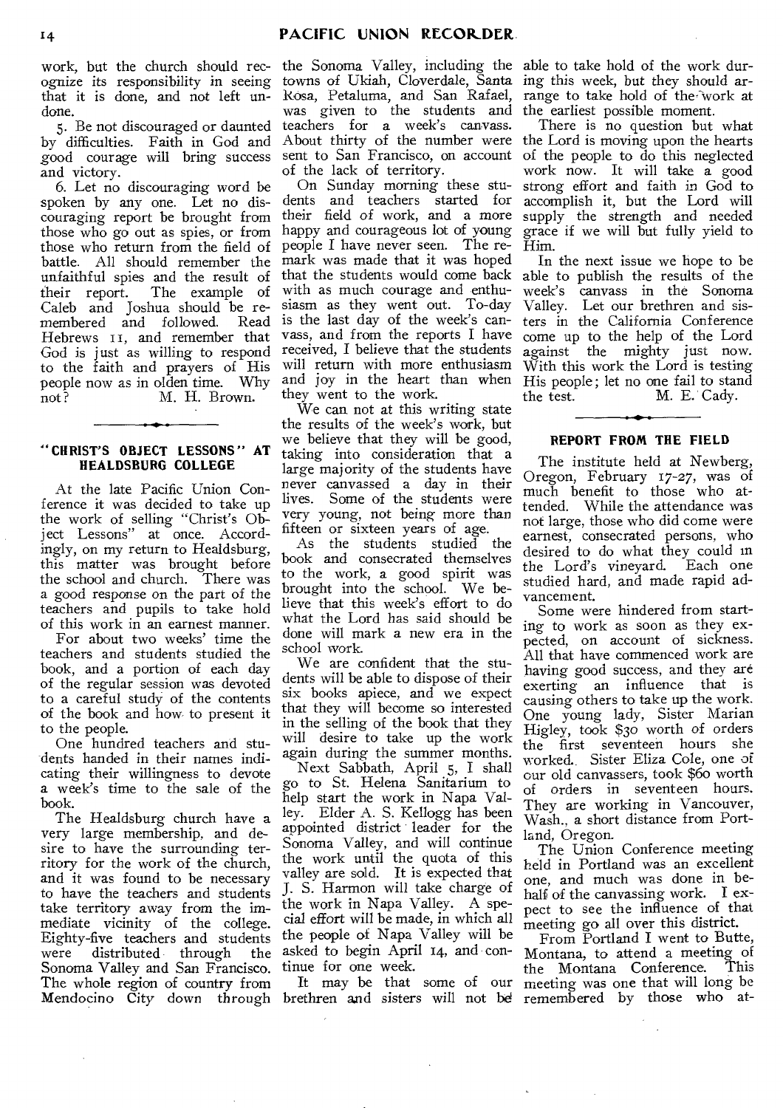ognize its responsibility in seeing that it is done, and not left undone.

5. Be not discouraged or daunted by difficulties. Faith in God and good courage will bring success and victory.

6. Let no discouraging word be spoken by any one. Let no discouraging report be brought from those who go out as spies, or from those who return from the field of battle. All should remember the unfaithful spies and the result of their report. The example of Caleb and Joshua should be remembered and followed. Read Hebrews 11, and remember that God is just as willing to respond to the faith and prayers of His people now as in olden time. Why not? M. H. Brown.

### **"CHRIST'S OBJECT LESSONS" AT HEALDSBURG COLLEGE**

At the late Pacific Union Conference it was decided to take up the work of selling "Christ's Object Lessons" at once. Accordingly, on my return to Healdsburg, this matter was brought before the school and church. There was a good response on the part of the teachers and pupils to take hold of this work in an earnest manner.

For about two weeks' time the teachers and students studied the book, and a portion of each day of the regular session was devoted to a careful study of the contents of the book and how- to present it to the people.

One hundred teachers and students handed in their names indicating their willingness to devote a week's time to the sale of the book.

The Healdsburg church have a very large membership, and desire to have the surrounding territory for the work of the church, and it was found to be necessary to have the teachers and students take territory away from the immediate vicinity of the college. Eighty-five teachers and students were distributed through the Sonoma Valley and San Francisco. The whole region of country from Mendocino City down through brethren and sisters will not be

work, but the church should rec-the Sonoma Valley, including the able to take hold of the work durtowns of Ukiah, Cloverdale, Santa Rosa, Petaluma, and San Rafael, was given to the students and teachers for a week's canvass. About thirty of the number were sent to San Francisco, on account of the lack of territory.

On Sunday morning these students and teachers started for their field of work, and a more happy and courageous lot of young people I have never seen. The remark was made that it was hoped that the students would come back with as much courage and enthusiasm as they went out. To-day is the last day of the week's canvass, and from the reports I have received, I believe that the students will return with more enthusiasm and joy in the heart than when they went to the work.

We can not at this writing state the results of the week's work, but we believe that they will be good, taking into consideration that a large majority of the students have never canvassed a day in their lives. Some of the students were very young, not being more than fifteen or sixteen years of age.

As the students studied the book and consecrated themselves to the work, a good spirit was brought into the school. We believe that this week's effort to do what the Lord has said should be done will mark a new era in the school work.

We are confident that the students will be able to dispose of their six books apiece, and we expect that they will become so interested in the selling of the book that they will desire to take up the work again during the summer months.

Next Sabbath, April 5, I shall go to St. Helena Sanitarium to help start the work in Napa Valley. Elder A. S. Kellogg has been appointed district leader for the Sonoma Valley, and will continue the work until the quota of this valley are sold. It is expected that J. S. Harmon will take charge of the work in Napa Valley. A special effort will be made, in which all the people of Napa Valley will be asked to begin April 14, and continue for one week.

It may be that some of our

ing this week, but they should arrange to take hold of the-Work at the earliest possible moment.

There is no question but what the Lord is moving upon the hearts of the people to do this neglected work now. It will take a good strong effort and faith in God to accomplish it, but the Lord will supply the strength and needed grace if we will but fully yield to Him.

In the next issue we hope to be able to publish the results of the week's canvass in the Sonoma Valley. Let our brethren and sisters in the California Conference come up to the help of the Lord against the mighty just now. With this work the Lord is testing His people; let no one fail to stand<br>the test. M. E. Cady. M. E. Cady.

#### **REPORT FROM THE FIELD**

The institute held at Newberg, Oregon, February 17-27, was of much benefit to those who attended. While the attendance was not large, those who did come were earnest, consecrated persons, who desired to do what they could in the Lord's vineyard. Each one studied hard, and made rapid advancement.

Some were hindered from starting to work as soon as they expected, on account of sickness. All that have commenced work are having good success, and they are exerting an influence that is causing others to take up the work. One young lady, Sister Marian Higley, took \$30 worth of orders the first seventeen hours she worked.. Sister Eliza Cole, one of our old canvassers, took \$6o worth of orders in seventeen hours. They are working in Vancouver, Wash., a short distance from Portland, Oregon.

The Union Conference meeting held in Portland was an excellent one, and much was done in behalf of the canvassing work. I expect to see the influence of that meeting go all over this district.

From Portland I went to Butte, Montana, to attend a meeting of<br>the Montana Conference. This the Montana Conference. meeting was one that will long be remembered by those who at-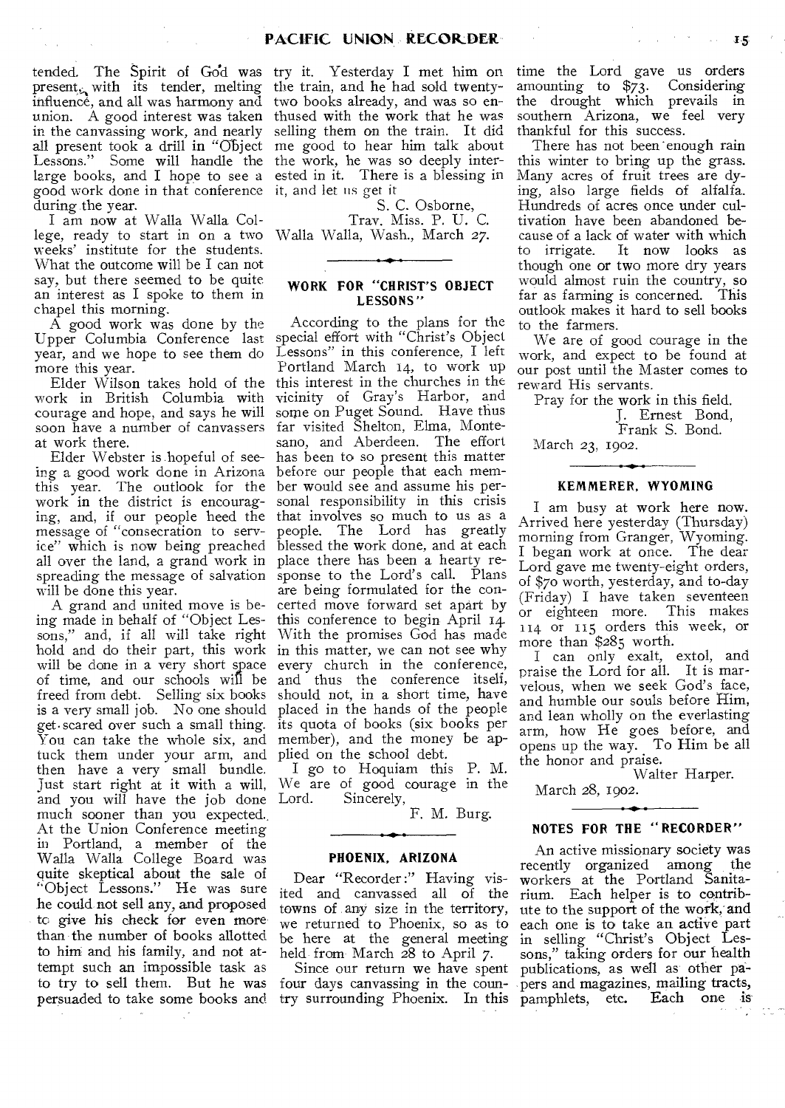tended. The Spirit of God was try it. Yesterday I met him on present<sub>s</sub> with its tender, melting the train, and he had sold twentyinfluence, and all was harmony and two books already, and was so enunion. A good interest was taken thused with the work that he was in the canvassing work, and nearly selling them on the train. It did all present took a drill in "Object me good to hear him talk about Lessons." Some will handle the the work, he was so deeply interlarge books, and I hope to see a ested in it. There is a blessing in good work done in that conference it, and let us get it during the year.

 $\sim$ 

I am now at Walla Walla College, ready to start in on a two Walla Walla, Wash., March 27. weeks' institute for the students. What the outcome will be I can not say, but there seemed to be quite an interest as I spoke to them in chapel this morning.

A good work was done by the Upper Columbia Conference last year, and we hope to see them do more this year.

work in British Columbia with courage and hope, and says he will soon have a number of canvassers at work there.

Elder Webster is hopeful of seeing a good work done in Arizona this year. The outlook for the work in the district is encouraging, and, if our people heed the message of "consecration to service" which is now being preached all over the land, a grand work in place there has been a hearty respreading the message of salvation will be done this year.

A grand and united move is being made in behalf of "Object Lessons," and, if all will take right hold and do their part, this work in this matter, we can not see why will be done in a very short space of time, and our schools will be freed from debt. Selling six books should not, in a short time, have is a very small job. No one should placed in the hands of the people get•scared over such a small thing. its quota of books (six books per You can take the whole six, and member), and the money be aptuck them under your arm, and plied on the school debt. then have a very small bundle. Just start right at it with a will, We are of good courage in the and you will have the job done Lord. much sooner than you expected.. At the Union Conference meeting in Portland, a member of the Walla Walla College Board was quite skeptical about the sale of "Object Lessons." He was sure he could not sell any, and proposed to give his check for even more than the number of books allotted to him and his family, and not attempt such an impossible task as to try to sell them. But he was persuaded to take some books and

S. C. Osborne,

Tray. Miss. P. U. C.

#### **WORK FOR "CHRIST'S OBJECT LESSONS"**

Elder Wilson takes hold of the this interest in the churches in the According to the plans for the special effort with "Christ's Object Lessons" in this conference, I left Portland March 14, to work up vicinity of Gray's Harbor, and some on Puget Sound. Have thus far visited Shelton, Elma, Montesano, and Aberdeen. The effort has been to so present this matter before our people that each member would see and assume his personal responsibility in this crisis that involves so much to us as a people. The Lord has greatly blessed the work done, and at each sponse to the Lord's call. Plans are being formulated for the concerted move forward set apart by this conference to begin April 14. With the promises God has made every church in the conference, and thus the conference itself,

> I go to Hoquiam this P. M. Sincerely,

F. M. Burg.

#### **PHOENIX, ARIZONA**

Dear "Recorder :" Having visited and canvassed all of the towns of any size in the territory, we returned to Phoenix, so as to be here at the general meeting held from March 28 to April 7.

time the Lord gave us orders amounting to \$73. Considering the drought which prevails in southern Arizona, we feel very thankful for this success.

 $\label{eq:2.1} \varphi_{\alpha\beta} = \varphi_{\alpha\beta} = \varphi_{\alpha\beta} = \varphi_{\alpha\beta} = \varphi_{\alpha\beta} = \varphi_{\alpha\beta}.$ 

There has not been enough rain this winter to bring up the grass. Many acres of fruit trees are dying, also large fields of alfalfa. Hundreds of acres once under cultivation have been abandoned because of a lack of water with which to irrigate. It now looks as though one or two more dry years would almost ruin the country, so<br>far as farming is concerned. This far as farming is concerned. outlook makes it hard to sell books to the farmers.

We are of good courage in the work, and expect to be found at our post until the Master comes to reward His servants.

Pray for the work in this field.

J. Ernest Bond, Frank S. Bond.

March 23, 1902.

#### **KEMMERER, WYOMING**

I am busy at work here now. Arrived here yesterday (Thursday) morning from Granger, Wyoming. I began work at once. The dear Lord gave me twenty-eight orders, of \$70 worth, yesterday, and to-day (Friday) I have taken seventeen or eighteen more. This makes 114 or 115 orders this week, or more than \$285 worth.

I can only exalt, extol, and praise the Lord for all. It is marvelous, when we seek God's face, and humble our souls before Him, and lean wholly on the everlasting arm, how He goes before, and opens up the way. To Him be all the honor and praise.

Walter Harper.

March 28, 1902.

#### **NOTES FOR THE "RECORDER"**

Since our return we have spent publications, as well as other pafour days canvassing in the coun-pers and magazines, mailing tracts, try surrounding Phoenix. In this pamphlets, etc. Each one is An active missionary society was recently organized among the workers at the Portland Sanitarium. Each helper is to contribute to the support of the work, and each one is to take an active part in selling "Christ's Object Lessons," taking orders for our health